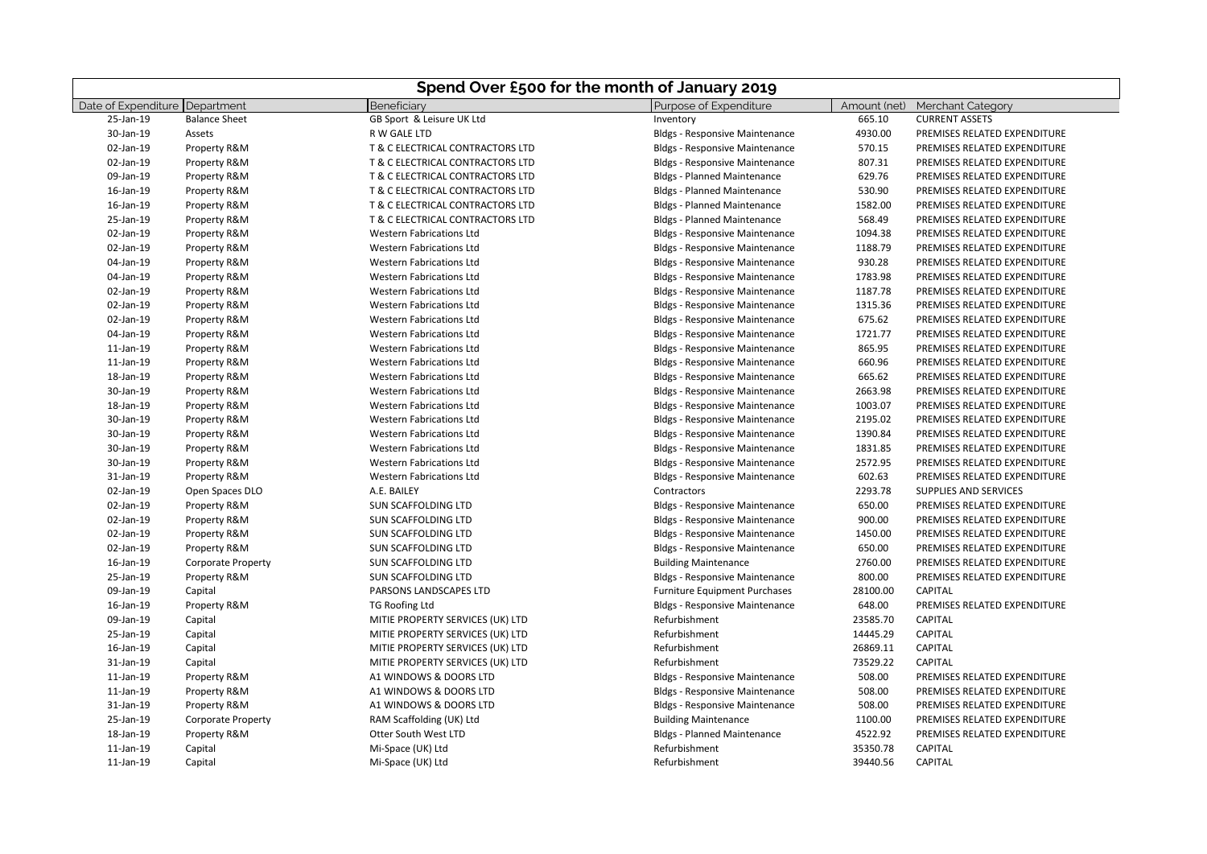| Spend Over £500 for the month of January 2019 |                           |                                  |                                       |              |                              |
|-----------------------------------------------|---------------------------|----------------------------------|---------------------------------------|--------------|------------------------------|
| Date of Expenditure Department                |                           | Beneficiary                      | Purpose of Expenditure                | Amount (net) | <b>Merchant Category</b>     |
| 25-Jan-19                                     | <b>Balance Sheet</b>      | GB Sport & Leisure UK Ltd        | Inventory                             | 665.10       | <b>CURRENT ASSETS</b>        |
| 30-Jan-19                                     | Assets                    | R W GALE LTD                     | <b>Bldgs - Responsive Maintenance</b> | 4930.00      | PREMISES RELATED EXPENDITURE |
| 02-Jan-19                                     | Property R&M              | T & C ELECTRICAL CONTRACTORS LTD | <b>Bldgs - Responsive Maintenance</b> | 570.15       | PREMISES RELATED EXPENDITURE |
| 02-Jan-19                                     | Property R&M              | T & C ELECTRICAL CONTRACTORS LTD | <b>Bldgs - Responsive Maintenance</b> | 807.31       | PREMISES RELATED EXPENDITURE |
| 09-Jan-19                                     | Property R&M              | T & C ELECTRICAL CONTRACTORS LTD | <b>Bldgs - Planned Maintenance</b>    | 629.76       | PREMISES RELATED EXPENDITURE |
| 16-Jan-19                                     | Property R&M              | T & C ELECTRICAL CONTRACTORS LTD | <b>Bldgs - Planned Maintenance</b>    | 530.90       | PREMISES RELATED EXPENDITURE |
| 16-Jan-19                                     | Property R&M              | T & C ELECTRICAL CONTRACTORS LTD | <b>Bldgs - Planned Maintenance</b>    | 1582.00      | PREMISES RELATED EXPENDITURE |
| 25-Jan-19                                     | Property R&M              | T & C ELECTRICAL CONTRACTORS LTD | <b>Bldgs - Planned Maintenance</b>    | 568.49       | PREMISES RELATED EXPENDITURE |
| 02-Jan-19                                     | Property R&M              | <b>Western Fabrications Ltd</b>  | <b>Bldgs - Responsive Maintenance</b> | 1094.38      | PREMISES RELATED EXPENDITURE |
| 02-Jan-19                                     | Property R&M              | <b>Western Fabrications Ltd</b>  | <b>Bldgs - Responsive Maintenance</b> | 1188.79      | PREMISES RELATED EXPENDITURE |
| 04-Jan-19                                     | Property R&M              | <b>Western Fabrications Ltd</b>  | <b>Bldgs - Responsive Maintenance</b> | 930.28       | PREMISES RELATED EXPENDITURE |
| 04-Jan-19                                     | Property R&M              | <b>Western Fabrications Ltd</b>  | <b>Bldgs - Responsive Maintenance</b> | 1783.98      | PREMISES RELATED EXPENDITURE |
| 02-Jan-19                                     | Property R&M              | <b>Western Fabrications Ltd</b>  | <b>Bldgs - Responsive Maintenance</b> | 1187.78      | PREMISES RELATED EXPENDITURE |
| 02-Jan-19                                     | Property R&M              | <b>Western Fabrications Ltd</b>  | <b>Bldgs - Responsive Maintenance</b> | 1315.36      | PREMISES RELATED EXPENDITURE |
| 02-Jan-19                                     | Property R&M              | <b>Western Fabrications Ltd</b>  | <b>Bldgs - Responsive Maintenance</b> | 675.62       | PREMISES RELATED EXPENDITURE |
| 04-Jan-19                                     | Property R&M              | <b>Western Fabrications Ltd</b>  | <b>Bldgs - Responsive Maintenance</b> | 1721.77      | PREMISES RELATED EXPENDITURE |
| 11-Jan-19                                     | Property R&M              | <b>Western Fabrications Ltd</b>  | <b>Bldgs - Responsive Maintenance</b> | 865.95       | PREMISES RELATED EXPENDITURE |
| 11-Jan-19                                     | Property R&M              | <b>Western Fabrications Ltd</b>  | <b>Bldgs - Responsive Maintenance</b> | 660.96       | PREMISES RELATED EXPENDITURE |
| 18-Jan-19                                     | Property R&M              | <b>Western Fabrications Ltd</b>  | <b>Bldgs - Responsive Maintenance</b> | 665.62       | PREMISES RELATED EXPENDITURE |
| 30-Jan-19                                     | Property R&M              | <b>Western Fabrications Ltd</b>  | <b>Bldgs - Responsive Maintenance</b> | 2663.98      | PREMISES RELATED EXPENDITURE |
| 18-Jan-19                                     | Property R&M              | <b>Western Fabrications Ltd</b>  | <b>Bldgs - Responsive Maintenance</b> | 1003.07      | PREMISES RELATED EXPENDITURE |
| 30-Jan-19                                     | Property R&M              | <b>Western Fabrications Ltd</b>  | <b>Bldgs - Responsive Maintenance</b> | 2195.02      | PREMISES RELATED EXPENDITURE |
| 30-Jan-19                                     | Property R&M              | <b>Western Fabrications Ltd</b>  | <b>Bldgs - Responsive Maintenance</b> | 1390.84      | PREMISES RELATED EXPENDITURE |
| 30-Jan-19                                     | Property R&M              | <b>Western Fabrications Ltd</b>  | <b>Bldgs - Responsive Maintenance</b> | 1831.85      | PREMISES RELATED EXPENDITURE |
| 30-Jan-19                                     | Property R&M              | <b>Western Fabrications Ltd</b>  | <b>Bldgs - Responsive Maintenance</b> | 2572.95      | PREMISES RELATED EXPENDITURE |
| 31-Jan-19                                     | Property R&M              | <b>Western Fabrications Ltd</b>  | <b>Bldgs - Responsive Maintenance</b> | 602.63       | PREMISES RELATED EXPENDITURE |
| 02-Jan-19                                     | Open Spaces DLO           | A.E. BAILEY                      | Contractors                           | 2293.78      | <b>SUPPLIES AND SERVICES</b> |
| 02-Jan-19                                     | Property R&M              | SUN SCAFFOLDING LTD              | <b>Bldgs - Responsive Maintenance</b> | 650.00       | PREMISES RELATED EXPENDITURE |
| 02-Jan-19                                     | Property R&M              | SUN SCAFFOLDING LTD              | <b>Bldgs - Responsive Maintenance</b> | 900.00       | PREMISES RELATED EXPENDITURE |
| 02-Jan-19                                     | Property R&M              | SUN SCAFFOLDING LTD              | <b>Bldgs - Responsive Maintenance</b> | 1450.00      | PREMISES RELATED EXPENDITURE |
| 02-Jan-19                                     | Property R&M              | SUN SCAFFOLDING LTD              | <b>Bldgs - Responsive Maintenance</b> | 650.00       | PREMISES RELATED EXPENDITURE |
| 16-Jan-19                                     | <b>Corporate Property</b> | SUN SCAFFOLDING LTD              | <b>Building Maintenance</b>           | 2760.00      | PREMISES RELATED EXPENDITURE |
| 25-Jan-19                                     | Property R&M              | <b>SUN SCAFFOLDING LTD</b>       | <b>Bldgs - Responsive Maintenance</b> | 800.00       | PREMISES RELATED EXPENDITURE |
| 09-Jan-19                                     | Capital                   | PARSONS LANDSCAPES LTD           | <b>Furniture Equipment Purchases</b>  | 28100.00     | <b>CAPITAL</b>               |
| 16-Jan-19                                     | Property R&M              | <b>TG Roofing Ltd</b>            | <b>Bldgs - Responsive Maintenance</b> | 648.00       | PREMISES RELATED EXPENDITURE |
| 09-Jan-19                                     | Capital                   | MITIE PROPERTY SERVICES (UK) LTD | Refurbishment                         | 23585.70     | <b>CAPITAL</b>               |
| 25-Jan-19                                     | Capital                   | MITIE PROPERTY SERVICES (UK) LTD | Refurbishment                         | 14445.29     | <b>CAPITAL</b>               |
| 16-Jan-19                                     | Capital                   | MITIE PROPERTY SERVICES (UK) LTD | Refurbishment                         | 26869.11     | <b>CAPITAL</b>               |
| 31-Jan-19                                     | Capital                   | MITIE PROPERTY SERVICES (UK) LTD | Refurbishment                         | 73529.22     | CAPITAL                      |
| 11-Jan-19                                     | Property R&M              | A1 WINDOWS & DOORS LTD           | <b>Bldgs - Responsive Maintenance</b> | 508.00       | PREMISES RELATED EXPENDITURE |
| 11-Jan-19                                     | Property R&M              | A1 WINDOWS & DOORS LTD           | <b>Bldgs - Responsive Maintenance</b> | 508.00       | PREMISES RELATED EXPENDITURE |
| 31-Jan-19                                     | Property R&M              | A1 WINDOWS & DOORS LTD           | <b>Bldgs - Responsive Maintenance</b> | 508.00       | PREMISES RELATED EXPENDITURE |
| 25-Jan-19                                     | <b>Corporate Property</b> | RAM Scaffolding (UK) Ltd         | <b>Building Maintenance</b>           | 1100.00      | PREMISES RELATED EXPENDITURE |
| 18-Jan-19                                     | Property R&M              | Otter South West LTD             | <b>Bldgs - Planned Maintenance</b>    | 4522.92      | PREMISES RELATED EXPENDITURE |
| 11-Jan-19                                     | Capital                   | Mi-Space (UK) Ltd                | Refurbishment                         | 35350.78     | <b>CAPITAL</b>               |
| 11-Jan-19                                     | Capital                   | Mi-Space (UK) Ltd                | Refurbishment                         | 39440.56     | <b>CAPITAL</b>               |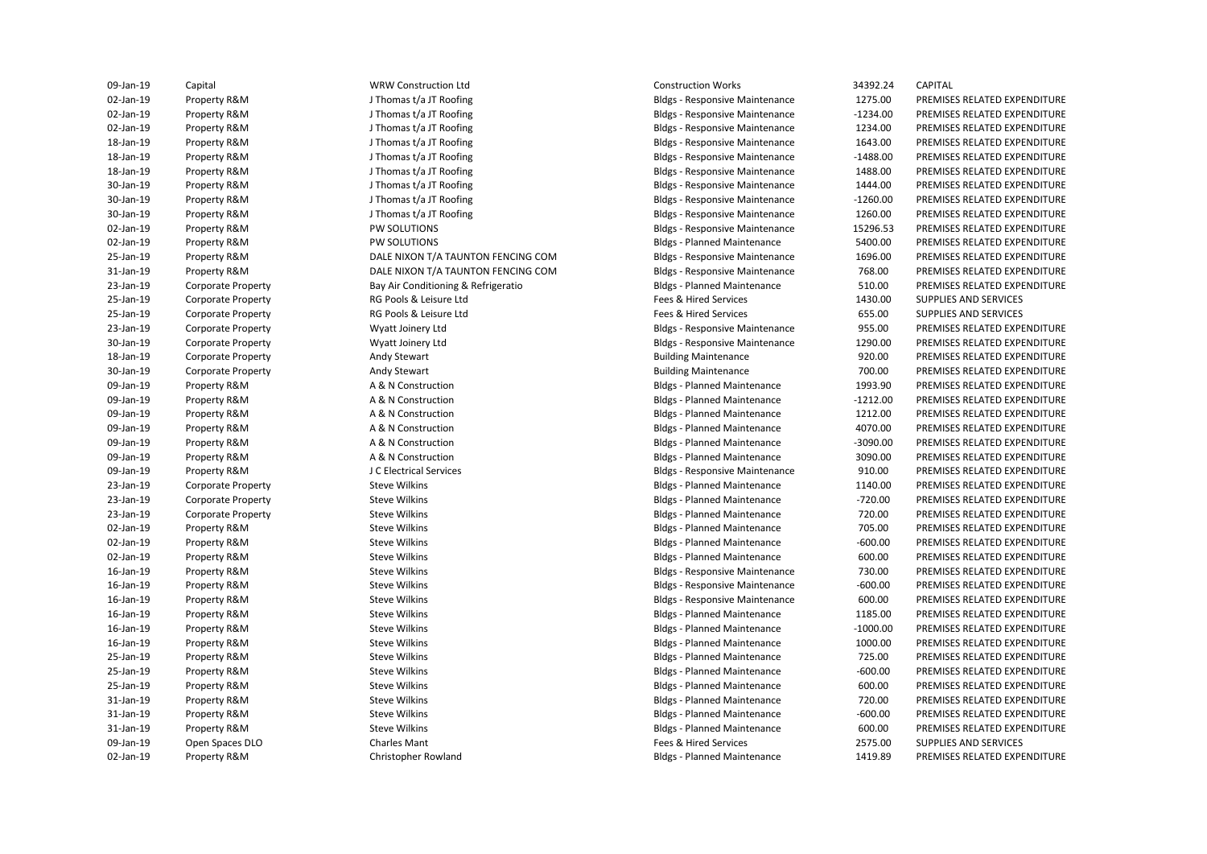25-Jan-19 Corporate Property **RG Pools & Leisure Ltd** Fees & Hired Services **Fees Additional Supplies AND SERVICES** 25-Jan-19 Corporate Property **RG Pools & Leisure Ltd** Fees & Hired Services 655.00 SUPPLIES AND SERVICES AND SERVICES 09-Jan-19 Open Spaces DLO Charles Mant Charles Mant Charles Mant Fees & Hired Services 2575.00 SUPPLIES AND SERVICES

J Thomas t/a JT Roofing I Thomas t/a IT Roofing J Thomas t/a JT Roofing J Thomas t/a JT Roofing J Thomas t/a JT Roofing J Thomas t/a JT Roofing J Thomas t/a JT Roofing J Thomas t/a JT Roofing J Thomas t/a JT Roofing RG Pools & Leisure Ltd RG Pools & Leisure Ltd A & N Construction A & N Construction A & N Construction A & N Construction A & N Construction A & N Construction J C Electrical Services 09-Jan-19 Capital WRW Construction Ltd Construction Works 34392.24 CAPITAL

**Bldgs - Planned Maintenance Bldgs - Responsive Maintenance Bldgs - Planned Maintenance Bldgs - Planned Maintenance Bldgs - Planned Maintenance Bldgs - Planned Maintenance Bldgs - Planned Maintenance Bldgs - Planned Maintenance Bldgs - Planned Maintenance Bldgs - Responsive Maintenance Bldgs - Planned Maintenance Bldgs - Planned Maintenance Bldgs - Planned Maintenance Bldgs - Planned Maintenance Bldgs - Planned Maintenance Bldgs - Planned Maintenance Bldgs - Planned Maintenance Bldgs - Planned Maintenance Bldgs - Planned Maintenance Bldgs - Planned Maintenance** 

02-Jan-19 Property R&M PW SOLUTIONS PERITIONS And Bldgs - Responsive Maintenance 15296.53 PREMISES RELATED EXPENDITURE 25-Jan-19 Property R&M DALE NIXON T/A TAUNTON FENCING COM Bldgs - Responsive Maintenance 1696.00 PREMISES RELATED EXPENDITURE 23-Jan-19 Corporate Property Wyatt Joinery Ltd Bldgs - Responsive Maintenance 955.00 PREMISES RELATED EXPENDITURE 30-Jan-19 Corporate Property Wyatt Joinery Ltd Bldgs - Responsive Maintenance 1290.00 PREMISES RELATED EXPENDITURE 16-Jan-19 Property R&M Steve Wilkins Steve Wilkins Steve Wilkins Steve Guide and Bldgs - Responsive Maintenance And The MISES RELATED EXPENDITURE 16-Jan-19 Property R&M Steve Wilkins Bldgs - Responsive Maintenance 600.00 PREMISES RELATED EXPENDITURE 02-Jan-19 Property R&M J Thomas t/a JT Roofing States and Bldgs - Responsive Maintenance 1275.00 PREMISES RELATED EXPENDITURE 02-Jan-19 Property R&M J Thomas t/a JT Roofing Computer Responsive Maintenance -1234.00 PREMISES RELATED EXPENDITURE 02-Jan-19 Property R&M J Thomas t/a JT Roofing Bldgs - Responsive Maintenance 1234.00 PREMISES RELATED EXPENDITURE 18-Jan-19 Property R&M J Thomas t/a JT Roofing Bldgs - Responsive Maintenance 1643.00 PREMISES RELATED EXPENDITURE 18-Jan-19 Property R&M J Thomas t/a JT Roofing Compared and Bldgs - Responsive Maintenance - 1488.00 PREMISES RELATED EXPENDITURE 18-Jan-19 Property R&M J Thomas t/a JT Roofing Samples and Bldgs - Responsive Maintenance 1488.00 PREMISES RELATED EXPENDITURE 30-Jan-19 Property R&M J Thomas t/a JT Roofing Samples and Bldgs - Responsive Maintenance 1444.00 PREMISES RELATED EXPENDITURE 30-Jan-19 Property R&M J Thomas t/a JT Roofing Compared and Bldgs - Responsive Maintenance -1260.00 PREMISES RELATED EXPENDITURE 30-Jan-19 Property R&M J Thomas t/a JT Roofing Bldgs - Responsive Maintenance 1260.00 PREMISES RELATED EXPENDITURE 02-Jan-19 Property R&M PW SOLUTIONS PW SOLUTIONS SUBS - Planned Maintenance 5400.00 PREMISES RELATED EXPENDITURE 31-Jan-19 Property R&M DALE NIXON T/A TAUNTON FENCING COM Bldgs - Responsive Maintenance 768.00 PREMISES RELATED EXPENDITURE 23-Jan-19 Corporate Property Say Air Conditioning & Refrigeratio Bldgs - Planned Maintenance 510.00 PREMISES RELATED EXPENDITURE<br>25-Jan-19 Corporate Property RG Pools & Leisure Itd Say and Thes & Hired Services 1430.00 SUP 18-Jan-19 Corporate Property Andy Stewart Building Maintenance 920.00 PREMISES RELATED EXPENDITURE 30-Jan-19 Corporate Property **Andy Stewart Andy Stewart Building Maintenance** Building Maintenance 700.00 PREMISES RELATED EXPENDITURE 09-Jan-19 Property R&M **A B A & N** Construction **Bldgs-Planned Maintenance** 1993.90 PREMISES RELATED EXPENDITURE 09-Jan-19 Property R&M **A B A & N** Construction **Bldgs-Planned Maintenance** -1212.00 PREMISES RELATED EXPENDITURE 09-Jan-19 Property R&M **A B A & N** Construction **Bldgs-Planned Maintenance** 1212.00 PREMISES RELATED EXPENDITURE 09-Jan-19 Property R&M **A B A & N** Construction **Bldgs-Planned Maintenance** 4070.00 PREMISES RELATED EXPENDITURE 09-Jan-19 Property R&M **A B A & N** Construction **Bldgs-Planned Maintenance** -3090.00 PREMISES RELATED EXPENDITURE 09-Jan-19 Property R&M **A B A & N** Construction **Bldgs-Planned Maintenance** 3090.00 PREMISES RELATED EXPENDITURE 09-Jan-19 Property R&M J C Electrical Services Supervices Bldgs - Responsive Maintenance 910.00 PREMISES RELATED EXPENDITURE 23-Jan-19 Corporate Property Steve Wilkins Steve Wilkins Steve Wilkins Bldgs - Planned Maintenance 20140.00 PREMISES RELATED EXPENDITURE 23-Jan-19 Corporate Property Steve Wilkins Steve Wilkins Steve Wilkins Steve Steve Steve Steve Steve Steve Steve Steve Steve Steve Steve Steve Steve Steve Steve Steve Steve Steve Steve Steve Steve Steve Steve Steve Steve S 23-Jan-19 Corporate Property Steve Wilkins Steve Wilkins Steve Wilkins Bldgs - Planned Maintenance 720.00 PREMISES RELATED EXPENDITURE 02-Jan-19 Property R&M Steve Wilkins Steve Wilkins Steve Wilkins Bldgs - Planned Maintenance 705.00 PREMISES RELATED EXPENDITURE 02-Jan-19 Property R&M Steve Wilkins Steve Wilkins Steve Wilkins Bldgs - Planned Maintenance 500.00 PREMISES RELATED EXPENDITURE 02-Jan-19 Property R&M Steve Wilkins Steve Wilkins Steve Wilkins Bldgs - Planned Maintenance 600.00 PREMISES RELATED EXPENDITURE 16-Jan-19 Property R&M Steve Wilkins Bldgs - Responsive Maintenance 730.00 PREMISES RELATED EXPENDITURE 16-Jan-19 Property R&M Steve Wilkins Bldgs - Planned Maintenance 1185.00 PREMISES RELATED EXPENDITURE 16-Jan-19 Property R&M Steve Wilkins Bldgs - Planned Maintenance -1000.00 PREMISES RELATED EXPENDITURE 16-Jan-19 Property R&M Steve Wilkins Bldgs - Planned Maintenance 1000.00 PREMISES RELATED EXPENDITURE 25-Jan-19 Property R&M Steve Wilkins Bldgs - Planned Maintenance 725.00 PREMISES RELATED EXPENDITURE 25-Jan-19 Property R&M Steve Wilkins Steve Wilkins Steve Bldgs - Planned Maintenance -600.00 PREMISES RELATED EXPENDITURE 25-Jan-19 Property R&M Steve Wilkins Bldgs - Planned Maintenance 600.00 PREMISES RELATED EXPENDITURE 31-Jan-19 Property R&M Steve Wilkins Bldgs - Planned Maintenance 720.00 PREMISES RELATED EXPENDITURE 31-Jan-19 Property R&M Steve Wilkins Steve Wilkins Steve Bldgs - Planned Maintenance -600.00 PREMISES RELATED EXPENDITURE 31-Jan-19 Property R&M Steve Wilkins Bldgs - Planned Maintenance 600.00 PREMISES RELATED EXPENDITURE 02-Jan-19 Property R&M Christopher Rowland Christopher Rowland Bldgs - Planned Maintenance 1419.89 PREMISES RELATED EXPENDITURE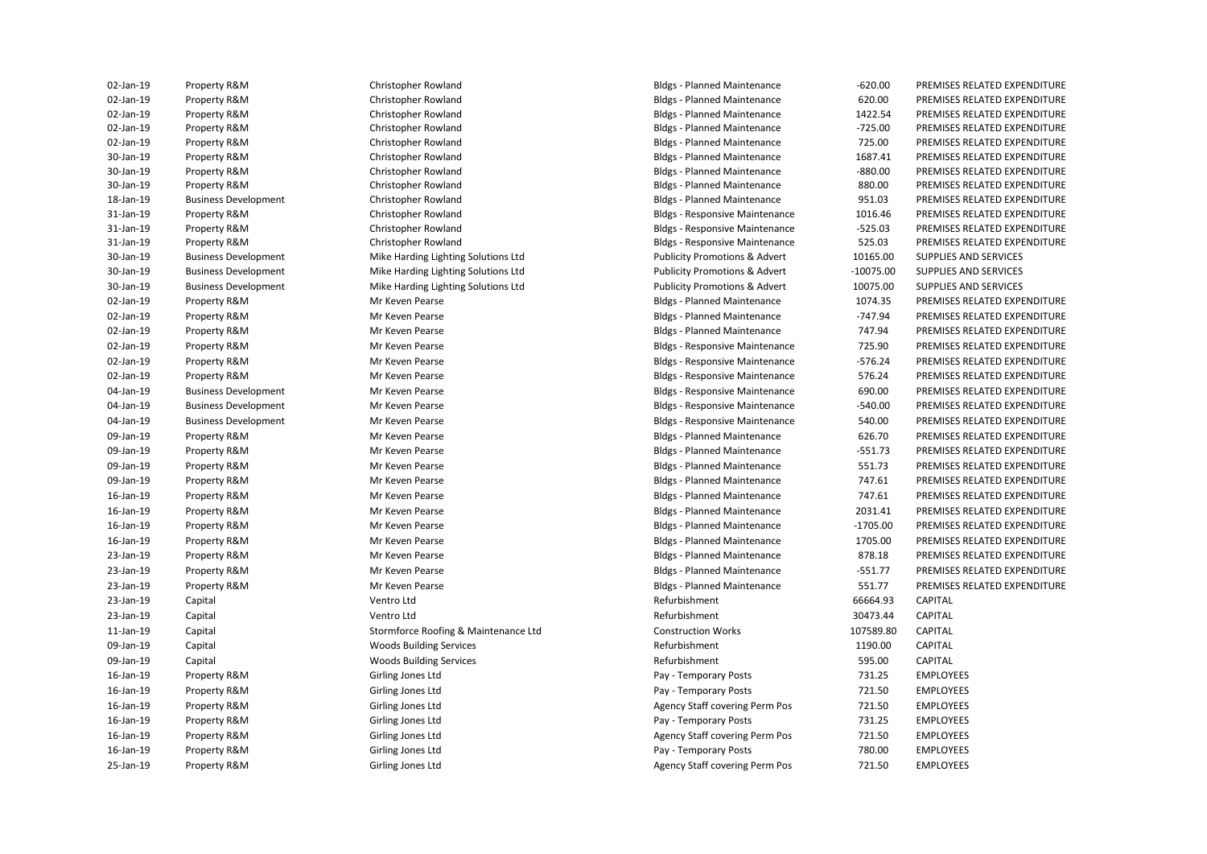| UZ-Jan-19 | Property R&M                | Christopher Rowland                  | Bidgs - Planned Maintenance              | -620.00     | PREMISES RELATED EXPENDITURE |
|-----------|-----------------------------|--------------------------------------|------------------------------------------|-------------|------------------------------|
| 02-Jan-19 | Property R&M                | Christopher Rowland                  | <b>Bldgs - Planned Maintenance</b>       | 620.00      | PREMISES RELATED EXPENDITURE |
| 02-Jan-19 | Property R&M                | Christopher Rowland                  | <b>Bldgs - Planned Maintenance</b>       | 1422.54     | PREMISES RELATED EXPENDITURE |
| 02-Jan-19 | Property R&M                | Christopher Rowland                  | <b>Bldgs - Planned Maintenance</b>       | $-725.00$   | PREMISES RELATED EXPENDITURE |
| 02-Jan-19 | Property R&M                | Christopher Rowland                  | <b>Bldgs - Planned Maintenance</b>       | 725.00      | PREMISES RELATED EXPENDITURE |
| 30-Jan-19 | Property R&M                | Christopher Rowland                  | <b>Bldgs - Planned Maintenance</b>       | 1687.41     | PREMISES RELATED EXPENDITURE |
| 30-Jan-19 | Property R&M                | Christopher Rowland                  | <b>Bldgs - Planned Maintenance</b>       | $-880.00$   | PREMISES RELATED EXPENDITURE |
| 30-Jan-19 | Property R&M                | Christopher Rowland                  | <b>Bldgs - Planned Maintenance</b>       | 880.00      | PREMISES RELATED EXPENDITURE |
| 18-Jan-19 | <b>Business Development</b> | Christopher Rowland                  | <b>Bldgs - Planned Maintenance</b>       | 951.03      | PREMISES RELATED EXPENDITURE |
| 31-Jan-19 | Property R&M                | Christopher Rowland                  | <b>Bldgs - Responsive Maintenance</b>    | 1016.46     | PREMISES RELATED EXPENDITURE |
| 31-Jan-19 | Property R&M                | Christopher Rowland                  | <b>Bldgs - Responsive Maintenance</b>    | $-525.03$   | PREMISES RELATED EXPENDITURE |
| 31-Jan-19 | Property R&M                | Christopher Rowland                  | <b>Bldgs - Responsive Maintenance</b>    | 525.03      | PREMISES RELATED EXPENDITURE |
| 30-Jan-19 | <b>Business Development</b> | Mike Harding Lighting Solutions Ltd  | <b>Publicity Promotions &amp; Advert</b> | 10165.00    | SUPPLIES AND SERVICES        |
| 30-Jan-19 | <b>Business Development</b> | Mike Harding Lighting Solutions Ltd  | <b>Publicity Promotions &amp; Advert</b> | $-10075.00$ | SUPPLIES AND SERVICES        |
| 30-Jan-19 | <b>Business Development</b> | Mike Harding Lighting Solutions Ltd  | <b>Publicity Promotions &amp; Advert</b> | 10075.00    | SUPPLIES AND SERVICES        |
| 02-Jan-19 | Property R&M                | Mr Keven Pearse                      | <b>Bldgs - Planned Maintenance</b>       | 1074.35     | PREMISES RELATED EXPENDITURE |
| 02-Jan-19 | Property R&M                | Mr Keven Pearse                      | <b>Bldgs - Planned Maintenance</b>       | $-747.94$   | PREMISES RELATED EXPENDITURE |
| 02-Jan-19 | Property R&M                | Mr Keven Pearse                      | <b>Bldgs - Planned Maintenance</b>       | 747.94      | PREMISES RELATED EXPENDITURE |
| 02-Jan-19 | Property R&M                | Mr Keven Pearse                      | <b>Bldgs - Responsive Maintenance</b>    | 725.90      | PREMISES RELATED EXPENDITURE |
| 02-Jan-19 | Property R&M                | Mr Keven Pearse                      | <b>Bldgs - Responsive Maintenance</b>    | $-576.24$   | PREMISES RELATED EXPENDITURE |
| 02-Jan-19 | Property R&M                | Mr Keven Pearse                      | <b>Bldgs - Responsive Maintenance</b>    | 576.24      | PREMISES RELATED EXPENDITURE |
| 04-Jan-19 | <b>Business Development</b> | Mr Keven Pearse                      | <b>Bldgs - Responsive Maintenance</b>    | 690.00      | PREMISES RELATED EXPENDITURE |
| 04-Jan-19 | <b>Business Development</b> | Mr Keven Pearse                      | <b>Bldgs - Responsive Maintenance</b>    | $-540.00$   | PREMISES RELATED EXPENDITURE |
| 04-Jan-19 | <b>Business Development</b> | Mr Keven Pearse                      | <b>Bldgs - Responsive Maintenance</b>    | 540.00      | PREMISES RELATED EXPENDITURE |
| 09-Jan-19 | Property R&M                | Mr Keven Pearse                      | <b>Bldgs - Planned Maintenance</b>       | 626.70      | PREMISES RELATED EXPENDITURE |
| 09-Jan-19 | Property R&M                | Mr Keven Pearse                      | <b>Bldgs - Planned Maintenance</b>       | $-551.73$   | PREMISES RELATED EXPENDITURE |
| 09-Jan-19 | Property R&M                | Mr Keven Pearse                      | <b>Bldgs - Planned Maintenance</b>       | 551.73      | PREMISES RELATED EXPENDITURE |
| 09-Jan-19 | Property R&M                | Mr Keven Pearse                      | <b>Bldgs - Planned Maintenance</b>       | 747.61      | PREMISES RELATED EXPENDITURE |
| 16-Jan-19 | Property R&M                | Mr Keven Pearse                      | <b>Bldgs - Planned Maintenance</b>       | 747.61      | PREMISES RELATED EXPENDITURE |
| 16-Jan-19 | Property R&M                | Mr Keven Pearse                      | <b>Bldgs - Planned Maintenance</b>       | 2031.41     | PREMISES RELATED EXPENDITURE |
| 16-Jan-19 | Property R&M                | Mr Keven Pearse                      | <b>Bldgs - Planned Maintenance</b>       | $-1705.00$  | PREMISES RELATED EXPENDITURE |
| 16-Jan-19 | Property R&M                | Mr Keven Pearse                      | <b>Bldgs - Planned Maintenance</b>       | 1705.00     | PREMISES RELATED EXPENDITURE |
| 23-Jan-19 | Property R&M                | Mr Keven Pearse                      | <b>Bldgs - Planned Maintenance</b>       | 878.18      | PREMISES RELATED EXPENDITURE |
| 23-Jan-19 | Property R&M                | Mr Keven Pearse                      | <b>Bldgs - Planned Maintenance</b>       | $-551.77$   | PREMISES RELATED EXPENDITURE |
| 23-Jan-19 | Property R&M                | Mr Keven Pearse                      | <b>Bldgs - Planned Maintenance</b>       | 551.77      | PREMISES RELATED EXPENDITURE |
| 23-Jan-19 | Capital                     | Ventro Ltd                           | Refurbishment                            | 66664.93    | CAPITAL                      |
| 23-Jan-19 | Capital                     | Ventro Ltd                           | Refurbishment                            | 30473.44    | <b>CAPITAL</b>               |
| 11-Jan-19 | Capital                     | Stormforce Roofing & Maintenance Ltd | <b>Construction Works</b>                | 107589.80   | <b>CAPITAL</b>               |
| 09-Jan-19 | Capital                     | <b>Woods Building Services</b>       | Refurbishment                            | 1190.00     | <b>CAPITAL</b>               |
| 09-Jan-19 | Capital                     | <b>Woods Building Services</b>       | Refurbishment                            | 595.00      | <b>CAPITAL</b>               |
| 16-Jan-19 | Property R&M                | Girling Jones Ltd                    | Pay - Temporary Posts                    | 731.25      | <b>EMPLOYEES</b>             |
| 16-Jan-19 | Property R&M                | Girling Jones Ltd                    | Pay - Temporary Posts                    | 721.50      | <b>EMPLOYEES</b>             |
| 16-Jan-19 | Property R&M                | Girling Jones Ltd                    | Agency Staff covering Perm Pos           | 721.50      | <b>EMPLOYEES</b>             |
| 16-Jan-19 | Property R&M                | Girling Jones Ltd                    | Pay - Temporary Posts                    | 731.25      | <b>EMPLOYEES</b>             |
| 16-Jan-19 | Property R&M                | Girling Jones Ltd                    | Agency Staff covering Perm Pos           | 721.50      | <b>EMPLOYEES</b>             |
| 16-Jan-19 | Property R&M                | Girling Jones Ltd                    | Pay - Temporary Posts                    | 780.00      | <b>EMPLOYEES</b>             |
| 25-Jan-19 | Property R&M                | Girling Jones Ltd                    | <b>Agency Staff covering Perm Pos</b>    | 721.50      | <b>EMPLOYEES</b>             |
|           |                             |                                      |                                          |             |                              |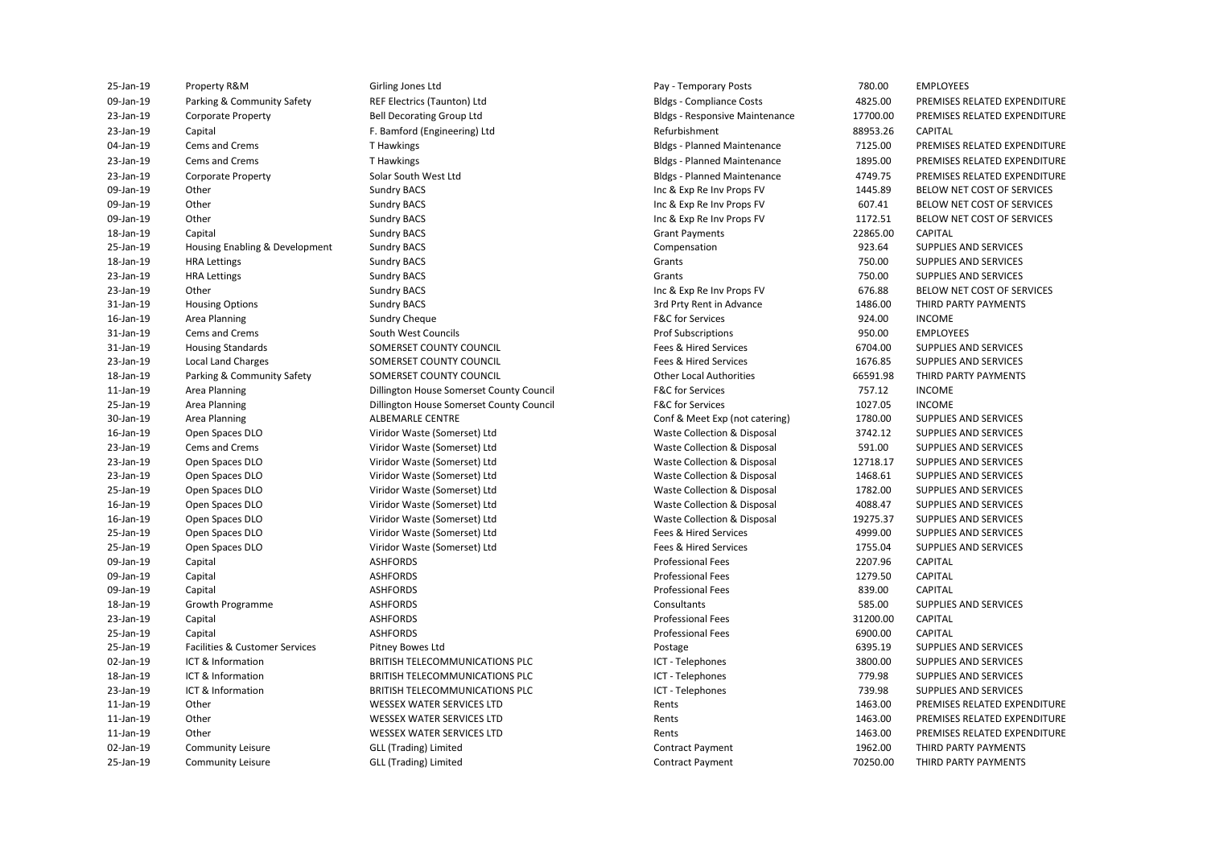| 25-Jan-19                    | Property R&M                                  | Girling Jones Ltd                                     | Pay - Temporary Posts                       | 780.00              | <b>EMPLOYEES</b>                             |
|------------------------------|-----------------------------------------------|-------------------------------------------------------|---------------------------------------------|---------------------|----------------------------------------------|
| 09-Jan-19                    | Parking & Community Safety                    | REF Electrics (Taunton) Ltd                           | <b>Bldgs - Compliance Costs</b>             | 4825.00             | PREMISES RELATED EXPENDITURE                 |
| 23-Jan-19                    | <b>Corporate Property</b>                     | <b>Bell Decorating Group Ltd</b>                      | <b>Bldgs - Responsive Maintenance</b>       | 17700.00            | PREMISES RELATED EXPENDITURE                 |
| 23-Jan-19                    | Capital                                       | F. Bamford (Engineering) Ltd                          | Refurbishment                               | 88953.26            | CAPITAL                                      |
| 04-Jan-19                    | Cems and Crems                                | T Hawkings                                            | <b>Bldgs - Planned Maintenance</b>          | 7125.00             | PREMISES RELATED EXPENDITURE                 |
| 23-Jan-19                    | <b>Cems and Crems</b>                         | T Hawkings                                            | <b>Bldgs - Planned Maintenance</b>          | 1895.00             | PREMISES RELATED EXPENDITURE                 |
| 23-Jan-19                    | <b>Corporate Property</b>                     | Solar South West Ltd                                  | <b>Bldgs - Planned Maintenance</b>          | 4749.75             | PREMISES RELATED EXPENDITURE                 |
| 09-Jan-19                    | Other                                         | <b>Sundry BACS</b>                                    | Inc & Exp Re Inv Props FV                   | 1445.89             | BELOW NET COST OF SERVICES                   |
| 09-Jan-19                    | Other                                         | <b>Sundry BACS</b>                                    | Inc & Exp Re Inv Props FV                   | 607.41              | BELOW NET COST OF SERVICES                   |
| 09-Jan-19                    | Other                                         | <b>Sundry BACS</b>                                    | Inc & Exp Re Inv Props FV                   | 1172.51             | BELOW NET COST OF SERVICES                   |
| 18-Jan-19                    | Capital                                       | <b>Sundry BACS</b>                                    | <b>Grant Payments</b>                       | 22865.00            | CAPITAL                                      |
| 25-Jan-19                    | Housing Enabling & Development                | <b>Sundry BACS</b>                                    | Compensation                                | 923.64              | SUPPLIES AND SERVICES                        |
| 18-Jan-19                    | <b>HRA Lettings</b>                           | <b>Sundry BACS</b>                                    | Grants                                      | 750.00              | SUPPLIES AND SERVICES                        |
| 23-Jan-19                    | <b>HRA Lettings</b>                           | <b>Sundry BACS</b>                                    | Grants                                      | 750.00              | SUPPLIES AND SERVICES                        |
| 23-Jan-19                    | Other                                         | <b>Sundry BACS</b>                                    | Inc & Exp Re Inv Props FV                   | 676.88              | BELOW NET COST OF SERVICES                   |
| 31-Jan-19                    | <b>Housing Options</b>                        | <b>Sundry BACS</b>                                    | 3rd Prty Rent in Advance                    | 1486.00             | THIRD PARTY PAYMENTS                         |
| 16-Jan-19                    | Area Planning                                 | <b>Sundry Cheque</b>                                  | <b>F&amp;C</b> for Services                 | 924.00              | <b>INCOME</b>                                |
| 31-Jan-19                    | Cems and Crems                                | South West Councils                                   | <b>Prof Subscriptions</b>                   | 950.00              | <b>EMPLOYEES</b>                             |
| 31-Jan-19                    | <b>Housing Standards</b>                      | SOMERSET COUNTY COUNCIL                               | Fees & Hired Services                       | 6704.00             | SUPPLIES AND SERVICES                        |
| 23-Jan-19                    | <b>Local Land Charges</b>                     | SOMERSET COUNTY COUNCIL                               | Fees & Hired Services                       | 1676.85             | SUPPLIES AND SERVICES                        |
| 18-Jan-19                    | Parking & Community Safety                    | SOMERSET COUNTY COUNCIL                               | <b>Other Local Authorities</b>              | 66591.98            | THIRD PARTY PAYMENTS                         |
| 11-Jan-19                    | Area Planning                                 | Dillington House Somerset County Council              | <b>F&amp;C for Services</b>                 | 757.12              | <b>INCOME</b>                                |
| 25-Jan-19                    | Area Planning                                 | Dillington House Somerset County Council              | <b>F&amp;C</b> for Services                 | 1027.05             | <b>INCOME</b>                                |
| 30-Jan-19                    | Area Planning                                 | <b>ALBEMARLE CENTRE</b>                               | Conf & Meet Exp (not catering)              | 1780.00             | SUPPLIES AND SERVICES                        |
| 16-Jan-19                    | Open Spaces DLO                               | Viridor Waste (Somerset) Ltd                          | Waste Collection & Disposal                 | 3742.12             | SUPPLIES AND SERVICES                        |
| 23-Jan-19                    | Cems and Crems                                | Viridor Waste (Somerset) Ltd                          | Waste Collection & Disposal                 | 591.00              | SUPPLIES AND SERVICES                        |
| 23-Jan-19                    | Open Spaces DLO                               | Viridor Waste (Somerset) Ltd                          | Waste Collection & Disposal                 | 12718.17            | SUPPLIES AND SERVICES                        |
| 23-Jan-19                    | Open Spaces DLO                               | Viridor Waste (Somerset) Ltd                          | Waste Collection & Disposal                 | 1468.61             | SUPPLIES AND SERVICES                        |
| 25-Jan-19                    | Open Spaces DLO                               | Viridor Waste (Somerset) Ltd                          | Waste Collection & Disposal                 | 1782.00             | SUPPLIES AND SERVICES                        |
| 16-Jan-19                    | Open Spaces DLO                               | Viridor Waste (Somerset) Ltd                          | Waste Collection & Disposal                 | 4088.47             | SUPPLIES AND SERVICES                        |
| 16-Jan-19                    | Open Spaces DLO                               | Viridor Waste (Somerset) Ltd                          | Waste Collection & Disposal                 | 19275.37            | SUPPLIES AND SERVICES                        |
| 25-Jan-19                    | Open Spaces DLO                               | Viridor Waste (Somerset) Ltd                          | Fees & Hired Services                       | 4999.00             | SUPPLIES AND SERVICES                        |
| 25-Jan-19                    | Open Spaces DLO                               | Viridor Waste (Somerset) Ltd                          | Fees & Hired Services                       | 1755.04             | SUPPLIES AND SERVICES                        |
| 09-Jan-19                    | Capital                                       | <b>ASHFORDS</b>                                       | <b>Professional Fees</b>                    | 2207.96             | CAPITAL                                      |
| 09-Jan-19                    | Capital                                       | <b>ASHFORDS</b>                                       | <b>Professional Fees</b>                    | 1279.50             | CAPITAL                                      |
| 09-Jan-19                    | Capital                                       | <b>ASHFORDS</b>                                       | <b>Professional Fees</b>                    | 839.00              | CAPITAL                                      |
| 18-Jan-19                    | <b>Growth Programme</b>                       | <b>ASHFORDS</b>                                       | Consultants                                 | 585.00              | SUPPLIES AND SERVICES                        |
| 23-Jan-19                    | Capital                                       | <b>ASHFORDS</b>                                       | <b>Professional Fees</b>                    | 31200.00            | CAPITAL                                      |
| 25-Jan-19                    | Capital                                       | <b>ASHFORDS</b>                                       | <b>Professional Fees</b>                    | 6900.00             | CAPITAL                                      |
| 25-Jan-19                    | Facilities & Customer Services                | Pitney Bowes Ltd                                      | Postage                                     | 6395.19             | SUPPLIES AND SERVICES                        |
| 02-Jan-19                    | ICT & Information                             | BRITISH TELECOMMUNICATIONS PLC                        | ICT - Telephones                            | 3800.00             | SUPPLIES AND SERVICES                        |
| 18-Jan-19                    | ICT & Information                             | BRITISH TELECOMMUNICATIONS PLC                        | ICT - Telephones                            | 779.98              | SUPPLIES AND SERVICES                        |
| 23-Jan-19                    | ICT & Information                             | BRITISH TELECOMMUNICATIONS PLC                        | ICT - Telephones                            | 739.98              | SUPPLIES AND SERVICES                        |
| 11-Jan-19                    | Other                                         | <b>WESSEX WATER SERVICES LTD</b>                      | Rents                                       | 1463.00             | PREMISES RELATED EXPENDITURE                 |
| 11-Jan-19                    | Other                                         | <b>WESSEX WATER SERVICES LTD</b>                      | Rents                                       | 1463.00             | PREMISES RELATED EXPENDITURE                 |
| 11-Jan-19                    | Other                                         | <b>WESSEX WATER SERVICES LTD</b>                      | Rents                                       | 1463.00             | PREMISES RELATED EXPENDITURE                 |
| 02-Jan-19<br>$25 - 12n - 19$ | <b>Community Leisure</b><br>Community Leisure | <b>GLL (Trading) Limited</b><br>GIL (Trading) Limited | <b>Contract Payment</b><br>Contract Payment | 1962.00<br>70250.00 | THIRD PARTY PAYMENTS<br>THIRD PARTY PAYMENTS |
|                              |                                               |                                                       |                                             |                     |                                              |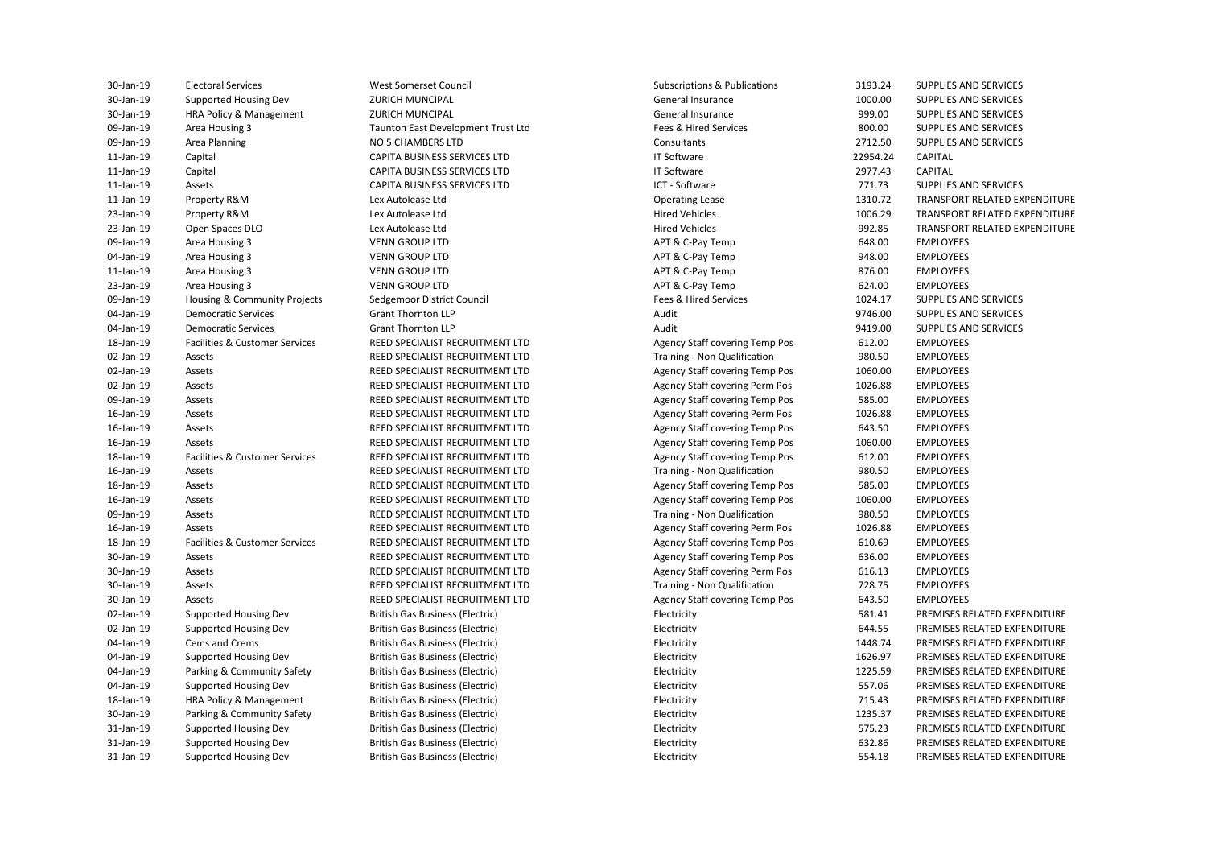| 30-Jan-19 | <b>Electoral Services</b>      | West Somerset Council                  | Subscriptions & Publications          | 3193.24  | SUPPLIES AND SERVICES       |
|-----------|--------------------------------|----------------------------------------|---------------------------------------|----------|-----------------------------|
| 30-Jan-19 | Supported Housing Dev          | <b>ZURICH MUNCIPAL</b>                 | General Insurance                     | 1000.00  | SUPPLIES AND SERVICES       |
| 30-Jan-19 | HRA Policy & Management        | <b>ZURICH MUNCIPAL</b>                 | General Insurance                     | 999.00   | SUPPLIES AND SERVICES       |
| 09-Jan-19 | Area Housing 3                 | Taunton East Development Trust Ltd     | Fees & Hired Services                 | 800.00   | SUPPLIES AND SERVICES       |
| 09-Jan-19 | Area Planning                  | NO 5 CHAMBERS LTD                      | Consultants                           | 2712.50  | SUPPLIES AND SERVICES       |
| 11-Jan-19 | Capital                        | CAPITA BUSINESS SERVICES LTD           | <b>IT Software</b>                    | 22954.24 | <b>CAPITAL</b>              |
| 11-Jan-19 | Capital                        | CAPITA BUSINESS SERVICES LTD           | <b>IT Software</b>                    | 2977.43  | <b>CAPITAL</b>              |
| 11-Jan-19 | Assets                         | <b>CAPITA BUSINESS SERVICES LTD</b>    | ICT - Software                        | 771.73   | SUPPLIES AND SERVICES       |
| 11-Jan-19 | Property R&M                   | Lex Autolease Ltd                      | <b>Operating Lease</b>                | 1310.72  | <b>TRANSPORT RELATED EX</b> |
| 23-Jan-19 | Property R&M                   | Lex Autolease Ltd                      | <b>Hired Vehicles</b>                 | 1006.29  | <b>TRANSPORT RELATED EX</b> |
| 23-Jan-19 | Open Spaces DLO                | Lex Autolease Ltd                      | <b>Hired Vehicles</b>                 | 992.85   | <b>TRANSPORT RELATED EX</b> |
| 09-Jan-19 | Area Housing 3                 | <b>VENN GROUP LTD</b>                  | APT & C-Pay Temp                      | 648.00   | <b>EMPLOYEES</b>            |
| 04-Jan-19 | Area Housing 3                 | <b>VENN GROUP LTD</b>                  | APT & C-Pay Temp                      | 948.00   | <b>EMPLOYEES</b>            |
| 11-Jan-19 | Area Housing 3                 | <b>VENN GROUP LTD</b>                  | APT & C-Pay Temp                      | 876.00   | <b>EMPLOYEES</b>            |
| 23-Jan-19 | Area Housing 3                 | <b>VENN GROUP LTD</b>                  | APT & C-Pay Temp                      | 624.00   | <b>EMPLOYEES</b>            |
| 09-Jan-19 | Housing & Community Projects   | Sedgemoor District Council             | Fees & Hired Services                 | 1024.17  | SUPPLIES AND SERVICES       |
| 04-Jan-19 | <b>Democratic Services</b>     | <b>Grant Thornton LLP</b>              | Audit                                 | 9746.00  | SUPPLIES AND SERVICES       |
| 04-Jan-19 | <b>Democratic Services</b>     | <b>Grant Thornton LLP</b>              | Audit                                 | 9419.00  | SUPPLIES AND SERVICES       |
| 18-Jan-19 | Facilities & Customer Services | REED SPECIALIST RECRUITMENT LTD        | Agency Staff covering Temp Pos        | 612.00   | <b>EMPLOYEES</b>            |
| 02-Jan-19 | Assets                         | REED SPECIALIST RECRUITMENT LTD        | Training - Non Qualification          | 980.50   | <b>EMPLOYEES</b>            |
| 02-Jan-19 | Assets                         | REED SPECIALIST RECRUITMENT LTD        | Agency Staff covering Temp Pos        | 1060.00  | <b>EMPLOYEES</b>            |
| 02-Jan-19 | Assets                         | REED SPECIALIST RECRUITMENT LTD        | Agency Staff covering Perm Pos        | 1026.88  | <b>EMPLOYEES</b>            |
| 09-Jan-19 | Assets                         | REED SPECIALIST RECRUITMENT LTD        | Agency Staff covering Temp Pos        | 585.00   | <b>EMPLOYEES</b>            |
| 16-Jan-19 | Assets                         | REED SPECIALIST RECRUITMENT LTD        | Agency Staff covering Perm Pos        | 1026.88  | <b>EMPLOYEES</b>            |
| 16-Jan-19 | Assets                         | REED SPECIALIST RECRUITMENT LTD        | Agency Staff covering Temp Pos        | 643.50   | <b>EMPLOYEES</b>            |
| 16-Jan-19 | Assets                         | REED SPECIALIST RECRUITMENT LTD        | Agency Staff covering Temp Pos        | 1060.00  | <b>EMPLOYEES</b>            |
| 18-Jan-19 | Facilities & Customer Services | REED SPECIALIST RECRUITMENT LTD        | Agency Staff covering Temp Pos        | 612.00   | <b>EMPLOYEES</b>            |
| 16-Jan-19 | Assets                         | REED SPECIALIST RECRUITMENT LTD        | Training - Non Qualification          | 980.50   | <b>EMPLOYEES</b>            |
| 18-Jan-19 | Assets                         | REED SPECIALIST RECRUITMENT LTD        | Agency Staff covering Temp Pos        | 585.00   | <b>EMPLOYEES</b>            |
| 16-Jan-19 | Assets                         | REED SPECIALIST RECRUITMENT LTD        | Agency Staff covering Temp Pos        | 1060.00  | <b>EMPLOYEES</b>            |
| 09-Jan-19 | Assets                         | REED SPECIALIST RECRUITMENT LTD        | Training - Non Qualification          | 980.50   | <b>EMPLOYEES</b>            |
| 16-Jan-19 | Assets                         | REED SPECIALIST RECRUITMENT LTD        | <b>Agency Staff covering Perm Pos</b> | 1026.88  | <b>EMPLOYEES</b>            |
| 18-Jan-19 | Facilities & Customer Services | REED SPECIALIST RECRUITMENT LTD        | Agency Staff covering Temp Pos        | 610.69   | <b>EMPLOYEES</b>            |
| 30-Jan-19 | Assets                         | REED SPECIALIST RECRUITMENT LTD        | Agency Staff covering Temp Pos        | 636.00   | <b>EMPLOYEES</b>            |
| 30-Jan-19 | Assets                         | REED SPECIALIST RECRUITMENT LTD        | Agency Staff covering Perm Pos        | 616.13   | <b>EMPLOYEES</b>            |
| 30-Jan-19 | Assets                         | REED SPECIALIST RECRUITMENT LTD        | Training - Non Qualification          | 728.75   | <b>EMPLOYEES</b>            |
| 30-Jan-19 | Assets                         | REED SPECIALIST RECRUITMENT LTD        | Agency Staff covering Temp Pos        | 643.50   | <b>EMPLOYEES</b>            |
| 02-Jan-19 | Supported Housing Dev          | <b>British Gas Business (Electric)</b> | Electricity                           | 581.41   | PREMISES RELATED EXPE       |
| 02-Jan-19 | Supported Housing Dev          | British Gas Business (Electric)        | Electricity                           | 644.55   | PREMISES RELATED EXPE       |
| 04-Jan-19 | Cems and Crems                 | <b>British Gas Business (Electric)</b> | Electricity                           | 1448.74  | PREMISES RELATED EXPE       |
| 04-Jan-19 | Supported Housing Dev          | <b>British Gas Business (Electric)</b> | Electricity                           | 1626.97  | PREMISES RELATED EXPE       |
| 04-Jan-19 | Parking & Community Safety     | <b>British Gas Business (Electric)</b> | Electricity                           | 1225.59  | PREMISES RELATED EXPE       |
| 04-Jan-19 | Supported Housing Dev          | <b>British Gas Business (Electric)</b> | Electricity                           | 557.06   | PREMISES RELATED EXPE       |
| 18-Jan-19 | HRA Policy & Management        | <b>British Gas Business (Electric)</b> | Electricity                           | 715.43   | PREMISES RELATED EXPE       |
| 30-Jan-19 | Parking & Community Safety     | <b>British Gas Business (Electric)</b> | Electricity                           | 1235.37  | PREMISES RELATED EXPE       |
| 31-Jan-19 | Supported Housing Dev          | <b>British Gas Business (Electric)</b> | Electricity                           | 575.23   | PREMISES RELATED EXPE       |
| 31-Jan-19 | Supported Housing Dev          | <b>British Gas Business (Electric)</b> | Electricity                           | 632.86   | PREMISES RELATED EXPE       |
| 31-Jan-19 | Supported Housing Dev          | <b>British Gas Business (Electric)</b> | Electricity                           | 554.18   | PREMISES RELATED EXPE       |

Operating Lease The Lease 1310.72 TRANSPORT RELATED EXPENDITURE 23-Jan-19 Property Relations Chemical Automobile Research Hired Vehicles 1006.29 TRANSPORT RELATED EXPENDITURE 23-Jan-23-Jan-20 Open Spaces DLO Lex Automation Spaces 2022.85 TRANSPORT RELATED EXPENDITURE Electricity **Electricity** 581.41 PREMISES RELATED EXPENDITURE Electricity **Supported Housing Device British Gas British British British British British British Gas British British British British British British British British British British British British British British British** Electricity **Electricity** CREMS BRITISH GAS BUSINESS (ELECTRICITY ELECTRIC EXPENDITURE Electricity **Supported Housing Device British Gas British Gas Business (ELATED EXPENDITURE** Electricity **Electricity** Sample British Gas British Gas British Gas British Gas British Gas British Gas British Gas British Gas British Gas British Gas British Gas British Gas British Gas British Gas British Gas British G Electricity **Development Housing Devilopment British Gas Business (ELECTRIC PREMISES RELATED EXPENDITURE** 18-Jan-19 HRA Policy & Management British Gas Business (Electric) Electricity 715.43 PREMISES RELATED EXPENDITURE Electricity **Safety British British British British Gas British Gas British British Gas British Gas British Gas B** Electricity **S75.23** PREMISES RELATED EXPENDITURE Electricity **Supported Housing Case British Gas Business (ELECTRIC PREMISES RELATED EXPENDITURE** Electricity **S54.18** PREMISES RELATED EXPENDITURE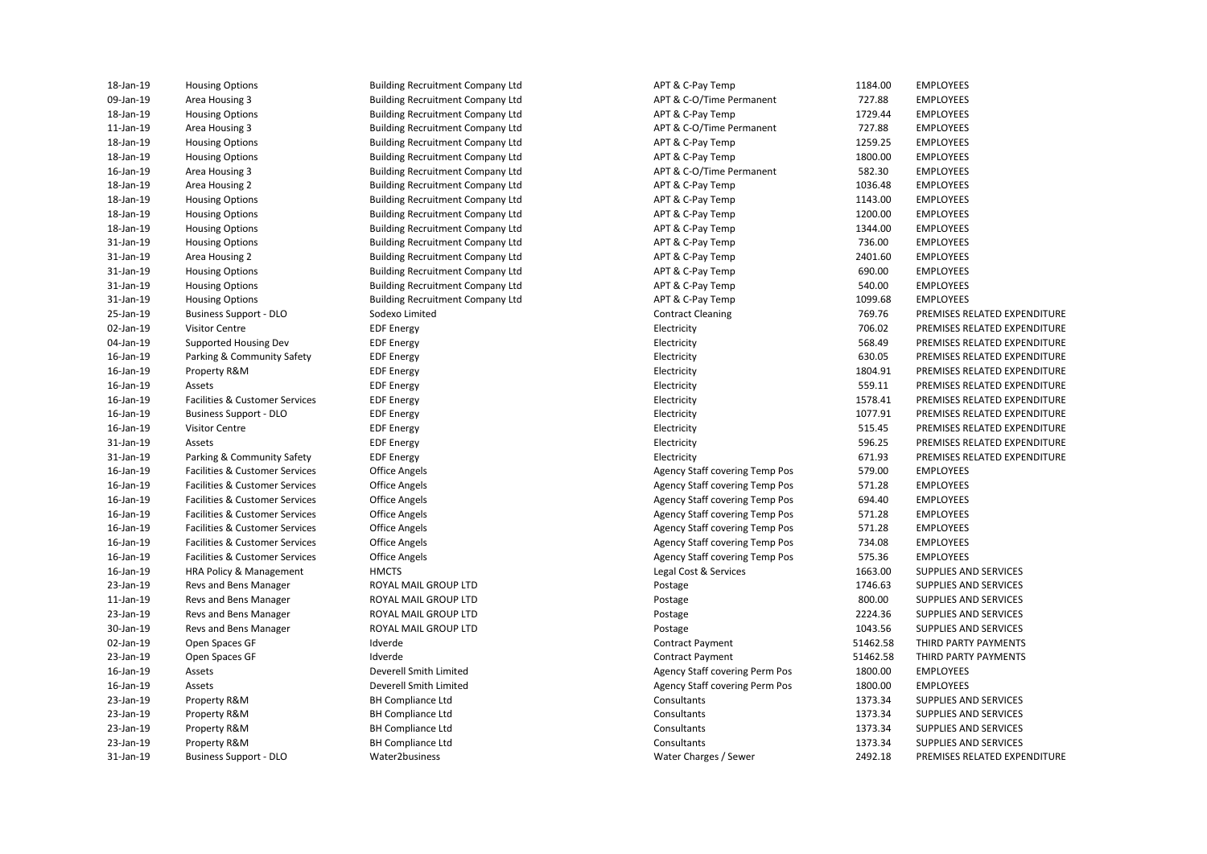| 18-Jan-19 | <b>Housing Options</b>                    |
|-----------|-------------------------------------------|
| 09-Jan-19 | Area Housing 3                            |
| 18-Jan-19 | <b>Housing Options</b>                    |
| 11-Jan-19 | Area Housing 3                            |
| 18-Jan-19 | <b>Housing Options</b>                    |
| 18-Jan-19 | <b>Housing Options</b>                    |
| 16-Jan-19 | Area Housing 3                            |
| 18-Jan-19 | Area Housing 2                            |
| 18-Jan-19 | <b>Housing Options</b>                    |
| 18-Jan-19 | <b>Housing Options</b>                    |
| 18-Jan-19 | <b>Housing Options</b>                    |
| 31-Jan-19 | <b>Housing Options</b>                    |
| 31-Jan-19 | Area Housing 2                            |
| 31-Jan-19 | <b>Housing Options</b>                    |
| 31-Jan-19 | <b>Housing Options</b>                    |
| 31-Jan-19 | <b>Housing Options</b>                    |
| 25-Jan-19 | <b>Business Support - DLO</b>             |
| 02-Jan-19 | <b>Visitor Centre</b>                     |
| 04-Jan-19 | <b>Supported Housing Dev</b>              |
| 16-Jan-19 | Parking & Community Safety                |
| 16-Jan-19 | Property R&M                              |
| 16-Jan-19 | Assets                                    |
| 16-Jan-19 | Facilities & Customer Services            |
| 16-Jan-19 | <b>Business Support - DLO</b>             |
| 16-Jan-19 | <b>Visitor Centre</b>                     |
| 31-Jan-19 | Assets                                    |
| 31-Jan-19 | Parking & Community Safety                |
| 16-Jan-19 | Facilities & Customer Services            |
| 16-Jan-19 | Facilities & Customer Services            |
| 16-Jan-19 | Facilities & Customer Services            |
| 16-Jan-19 | Facilities & Customer Services            |
| 16-Jan-19 | Facilities & Customer Services            |
|           |                                           |
| 16-Jan-19 | <b>Facilities &amp; Customer Services</b> |
| 16-Jan-19 | <b>Facilities &amp; Customer Services</b> |
| 16-Jan-19 | HRA Policy & Management                   |
| 23-Jan-19 | Revs and Bens Manager                     |
| 11-Jan-19 | Revs and Bens Manager                     |
| 23-Jan-19 | Revs and Bens Manager                     |
| 30-Jan-19 | Revs and Bens Manager                     |
| 02-Jan-19 | Open Spaces GF                            |
| 23-Jan-19 | Open Spaces GF                            |
| 16-Jan-19 | Assets                                    |
| 16-Jan-19 | Assets                                    |
| 23-Jan-19 | Property R&M                              |
| 23-Jan-19 | Property R&M                              |
| 23-Jan-19 | Property R&M                              |
| 23-Jan-19 | Property R&M                              |
| 31-Jan-19 | <b>Business Support - DLO</b>             |

| 18-Jan-19 | <b>Housing Options</b>         | <b>Building Recruitment Company Ltd</b> | APT & C-Pay Temp                      | 1184.00  | <b>EMPLOYEES</b>             |
|-----------|--------------------------------|-----------------------------------------|---------------------------------------|----------|------------------------------|
| 09-Jan-19 | Area Housing 3                 | <b>Building Recruitment Company Ltd</b> | APT & C-O/Time Permanent              | 727.88   | <b>EMPLOYEES</b>             |
| 18-Jan-19 | <b>Housing Options</b>         | <b>Building Recruitment Company Ltd</b> | APT & C-Pay Temp                      | 1729.44  | <b>EMPLOYEES</b>             |
| 11-Jan-19 | Area Housing 3                 | <b>Building Recruitment Company Ltd</b> | APT & C-O/Time Permanent              | 727.88   | <b>EMPLOYEES</b>             |
| 18-Jan-19 | <b>Housing Options</b>         | <b>Building Recruitment Company Ltd</b> | APT & C-Pay Temp                      | 1259.25  | <b>EMPLOYEES</b>             |
| 18-Jan-19 | <b>Housing Options</b>         | <b>Building Recruitment Company Ltd</b> | APT & C-Pay Temp                      | 1800.00  | <b>EMPLOYEES</b>             |
| 16-Jan-19 | Area Housing 3                 | <b>Building Recruitment Company Ltd</b> | APT & C-O/Time Permanent              | 582.30   | <b>EMPLOYEES</b>             |
| 18-Jan-19 | Area Housing 2                 | <b>Building Recruitment Company Ltd</b> | APT & C-Pay Temp                      | 1036.48  | <b>EMPLOYEES</b>             |
| 18-Jan-19 | <b>Housing Options</b>         | <b>Building Recruitment Company Ltd</b> | APT & C-Pay Temp                      | 1143.00  | <b>EMPLOYEES</b>             |
| 18-Jan-19 | <b>Housing Options</b>         | <b>Building Recruitment Company Ltd</b> | APT & C-Pay Temp                      | 1200.00  | <b>EMPLOYEES</b>             |
| 18-Jan-19 | <b>Housing Options</b>         | <b>Building Recruitment Company Ltd</b> | APT & C-Pay Temp                      | 1344.00  | <b>EMPLOYEES</b>             |
| 31-Jan-19 | <b>Housing Options</b>         | <b>Building Recruitment Company Ltd</b> | APT & C-Pay Temp                      | 736.00   | <b>EMPLOYEES</b>             |
| 31-Jan-19 | Area Housing 2                 | <b>Building Recruitment Company Ltd</b> | APT & C-Pay Temp                      | 2401.60  | <b>EMPLOYEES</b>             |
| 31-Jan-19 | <b>Housing Options</b>         | <b>Building Recruitment Company Ltd</b> | APT & C-Pay Temp                      | 690.00   | <b>EMPLOYEES</b>             |
| 31-Jan-19 | <b>Housing Options</b>         | <b>Building Recruitment Company Ltd</b> | APT & C-Pay Temp                      | 540.00   | <b>EMPLOYEES</b>             |
| 31-Jan-19 | <b>Housing Options</b>         | <b>Building Recruitment Company Ltd</b> | APT & C-Pay Temp                      | 1099.68  | <b>EMPLOYEES</b>             |
| 25-Jan-19 | <b>Business Support - DLO</b>  | Sodexo Limited                          | <b>Contract Cleaning</b>              | 769.76   | PREMISES RELATED EXPENDITURE |
| 02-Jan-19 | <b>Visitor Centre</b>          | <b>EDF</b> Energy                       | Electricity                           | 706.02   | PREMISES RELATED EXPENDITURE |
| 04-Jan-19 | Supported Housing Dev          | <b>EDF Energy</b>                       | Electricity                           | 568.49   | PREMISES RELATED EXPENDITURE |
| 16-Jan-19 | Parking & Community Safety     | <b>EDF Energy</b>                       | Electricity                           | 630.05   | PREMISES RELATED EXPENDITURE |
| 16-Jan-19 | Property R&M                   | <b>EDF Energy</b>                       | Electricity                           | 1804.91  | PREMISES RELATED EXPENDITURE |
| 16-Jan-19 | Assets                         | <b>EDF</b> Energy                       | Electricity                           | 559.11   | PREMISES RELATED EXPENDITURE |
| 16-Jan-19 | Facilities & Customer Services | <b>EDF</b> Energy                       | Electricity                           | 1578.41  | PREMISES RELATED EXPENDITURE |
| 16-Jan-19 | <b>Business Support - DLO</b>  | <b>EDF Energy</b>                       | Electricity                           | 1077.91  | PREMISES RELATED EXPENDITURE |
| 16-Jan-19 | <b>Visitor Centre</b>          | <b>EDF Energy</b>                       | Electricity                           | 515.45   | PREMISES RELATED EXPENDITURE |
| 31-Jan-19 | Assets                         | <b>EDF</b> Energy                       | Electricity                           | 596.25   | PREMISES RELATED EXPENDITURE |
| 31-Jan-19 | Parking & Community Safety     | <b>EDF Energy</b>                       | Electricity                           | 671.93   | PREMISES RELATED EXPENDITURE |
| 16-Jan-19 | Facilities & Customer Services | <b>Office Angels</b>                    | <b>Agency Staff covering Temp Pos</b> | 579.00   | <b>EMPLOYEES</b>             |
| 16-Jan-19 | Facilities & Customer Services | <b>Office Angels</b>                    | <b>Agency Staff covering Temp Pos</b> | 571.28   | <b>EMPLOYEES</b>             |
| 16-Jan-19 | Facilities & Customer Services | <b>Office Angels</b>                    | Agency Staff covering Temp Pos        | 694.40   | <b>EMPLOYEES</b>             |
| 16-Jan-19 | Facilities & Customer Services | <b>Office Angels</b>                    | <b>Agency Staff covering Temp Pos</b> | 571.28   | <b>EMPLOYEES</b>             |
| 16-Jan-19 | Facilities & Customer Services | <b>Office Angels</b>                    | <b>Agency Staff covering Temp Pos</b> | 571.28   | <b>EMPLOYEES</b>             |
| 16-Jan-19 | Facilities & Customer Services | <b>Office Angels</b>                    | Agency Staff covering Temp Pos        | 734.08   | <b>EMPLOYEES</b>             |
| 16-Jan-19 | Facilities & Customer Services | <b>Office Angels</b>                    | Agency Staff covering Temp Pos        | 575.36   | <b>EMPLOYEES</b>             |
| 16-Jan-19 | HRA Policy & Management        | <b>HMCTS</b>                            | Legal Cost & Services                 | 1663.00  | SUPPLIES AND SERVICES        |
| 23-Jan-19 | Revs and Bens Manager          | ROYAL MAIL GROUP LTD                    | Postage                               | 1746.63  | SUPPLIES AND SERVICES        |
| 11-Jan-19 | Revs and Bens Manager          | ROYAL MAIL GROUP LTD                    | Postage                               | 800.00   | SUPPLIES AND SERVICES        |
| 23-Jan-19 | Revs and Bens Manager          | ROYAL MAIL GROUP LTD                    | Postage                               | 2224.36  | SUPPLIES AND SERVICES        |
| 30-Jan-19 | Revs and Bens Manager          | ROYAL MAIL GROUP LTD                    | Postage                               | 1043.56  | SUPPLIES AND SERVICES        |
| 02-Jan-19 | Open Spaces GF                 | Idverde                                 | <b>Contract Payment</b>               | 51462.58 | THIRD PARTY PAYMENTS         |
| 23-Jan-19 | Open Spaces GF                 | Idverde                                 | <b>Contract Payment</b>               | 51462.58 | THIRD PARTY PAYMENTS         |
| 16-Jan-19 | Assets                         | Deverell Smith Limited                  | <b>Agency Staff covering Perm Pos</b> | 1800.00  | <b>EMPLOYEES</b>             |
| 16-Jan-19 | Assets                         | Deverell Smith Limited                  | Agency Staff covering Perm Pos        | 1800.00  | <b>EMPLOYEES</b>             |
| 23-Jan-19 | Property R&M                   | <b>BH Compliance Ltd</b>                | Consultants                           | 1373.34  | SUPPLIES AND SERVICES        |
| 23-Jan-19 | Property R&M                   | <b>BH Compliance Ltd</b>                | Consultants                           | 1373.34  | SUPPLIES AND SERVICES        |
| 23-Jan-19 | Property R&M                   | <b>BH Compliance Ltd</b>                | Consultants                           | 1373.34  | SUPPLIES AND SERVICES        |
| 23-Jan-19 | Property R&M                   | <b>BH Compliance Ltd</b>                | Consultants                           | 1373.34  | SUPPLIES AND SERVICES        |
| 31-Jan-19 | <b>Business Support - DLO</b>  | Water2business                          | Water Charges / Sewer                 | 2492.18  | PREMISES RELATED EXPENDITURE |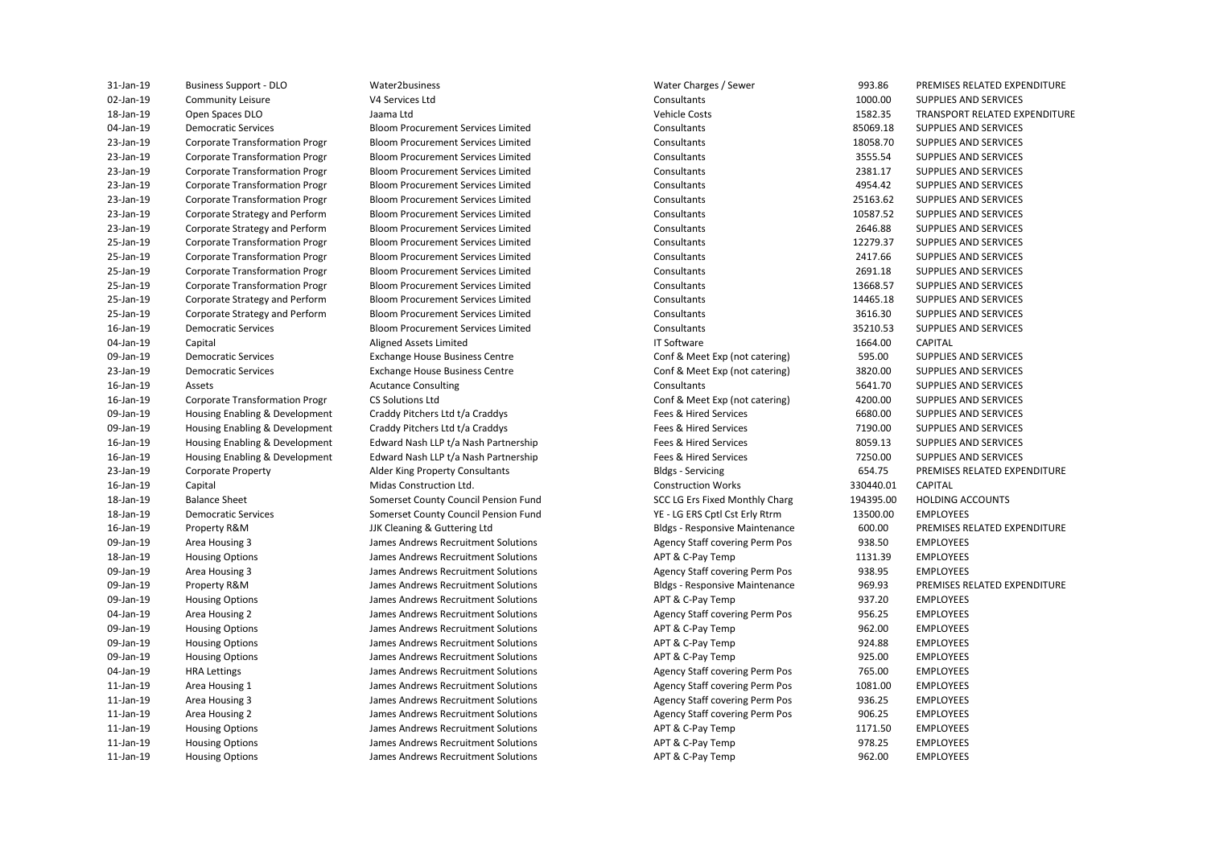**Business Support - DLO** Housing Enabling & Development Housing Enabling & Development

JJK Cleaning & Guttering Ltd

 18-Jan-19 Open Spaces DLO Jaama Ltd Vehicle Costs 1582.35 TRANSPORT RELATED EXPENDITURE 23-Jan-19 Corporate Strategy and Perform Bloom Procurement Services Limited Consultants 10587.52 SUPPLIES AND SERVICES 23-Jan-19 Corporate Strategy and Perform Bloom Procurement Services Limited Consultants 2646.88 SUPPLIES AND SERVICES 25-Jan-19 Corporate Strategy and Perform Bloom Procurement Services Limited Consultants 14465.18 SUPPLIES AND SERVICES 25-Jan-19 Corporate Strategy and Perform Bloom Procurement Services Limited Consultants 3616.30 SUPPLIES AND SERVICES 09-Jan-19 Democratic Services **Exchange House Business Centre** Conf & Meet Exp (not catering) 595.00 SUPPLIES AND SERVICES 23-Jan-19 Democratic Services Exchange House Business Centre Conf & Meet Exp (not catering) 3820.00 SUPPLIES AND SERVICES 09-Jan-19 Housing Enabling & Development Craddy Pitchers Ltd t/a Craddys Fees & Hired Services 6680.00 SUPPLIES AND SERVICES 09-Jan-19 Housing Enabling & Development Craddy Pitchers Ltd t/a Craddys Fees & Hired Services 7190.00 SUPPLIES AND SERVICES 23-Jan-19 Corporate Property **Alder King Property Consultants** Bldgs - Servicing 654.75 PREMISES RELATED EXPENDITURE 18-Jan-19 Balance Sheet Somerset County Council Pension Fund SCC LG Ers Fixed Monthly Charg 194395.00 HOLDING ACCOUNTS 18-Jan-19 Democratic Services Somerset County Council Pension Fund YE - LG ERS Cptl Cst Erly Rtrm 13500.00 EMPLOYEES 09-Jan-19 Area Housing 3 Sames Andrews Recruitment Solutions Agency Staff covering Perm Pos 938.50 EMPLOYEES 18-Jan-19 Housing Options **State State Constructs Andrews Recruitment Solutions** APT & C-Pay Temp 1131.39 EMPLOYEES 09-Jan-19 Area Housing 3 Sames Andrews Recruitment Solutions Agency Staff covering Perm Pos 938.95 EMPLOYEES 09-Jan-19 Property R&M James Andrews Recruitment Solutions Bldgs - Responsive Maintenance 969.93 PREMISES RELATED EXPENDITURE 09-Jan-19 Housing Options **State State Constructs Andrews Recruitment Solutions** APT & C-Pay Temp 937.20 EMPLOYEES 04-Jan-19 Area Housing 2 States and the Summer Solutions Agency Staff covering Perm Pos 956.25 EMPLOYEES 09-Jan-19 Housing Options **State State Constructs Andrews Recruitment Solutions** APT & C-Pay Temp 962.00 EMPLOYEES 09-Jan-19 Housing Options **State State Constructs Andrews Recruitment Solutions** APT & C-Pay Temp 924.88 EMPLOYEES 09-Jan-19 Housing Options **State State Constructs Andrews Recruitment Solutions** APT & C-Pay Temp 925.00 EMPLOYEES 04-Jan-19 HRA Lettings Sames Andrews Recruitment Solutions (Agency Staff covering Perm Pos 765.00 EMPLOYEES 11-Jan-19 Area Housing 1 11-James Andrews Recruitment Solutions 1998 Agency Staff covering Perm Pos 1081.00 EMPLOYEES 11-Jan-19 Area Housing 3 Sames Andrews Recruitment Solutions Agency Staff covering Perm Pos 936.25 EMPLOYEES 11-Jan-19 Area Housing 2 States and Lames Andrews Recruitment Solutions Agency Staff covering Perm Pos 906.25 EMPLOYEES 11-Jan-19 Housing Options **State Community Community Community** James Andrews Recruitment Solutions **APT & C-Pay Temp** 1171.50 EMPLOYEES 11-Jan-19 Housing Options **State State Constructs Andrews Recruitment Solutions** APT & C-Pay Temp 978.25 EMPLOYEES 11-Jan-19 Housing Options **State Community Community Community** James Andrews Recruitment Solutions APT & C-Pay Temp 962.00 EMPLOYEES 31-Jan-19 Business Support - DLO Water2business Water Charges / Sewer 993.86 PREMISES RELATED EXPENDITURE 02-Jan-19 Community Leisure Community Leisure Consultants Consultants Consultants Consultants 1000.00 SUPPLIES AND SERVICES 04-Jan-19 Democratic Services Bloom Procurement Services Limited Consultants Consultants 85069.18 SUPPLIES AND SERVICES 23-Jan-19 Corporate Transformation Progr Bloom Procurement Services Limited Consultants 18058.70 SUPPLIES AND SERVICES 23-Jan-19 Corporate Transformation Progr Bloom Procurement Services Limited Consultants Consultants 3555.54 SUPPLIES AND SERVICES 23-Jan-19 Corporate Transformation Progr Bloom Procurement Services Limited Consultants Consultants 2381.17 SUPPLIES AND SERVICES 23-Jan-19 Corporate Transformation Progr Bloom Procurement Services Limited Consultants 4954.42 SUPPLIES AND SERVICES 23-Jan-19 Corporate Transformation Progr Bloom Procurement Services Limited Consultants 25163.62 SUPPLIES AND SERVICES 25-Jan-19 Corporate Transformation Progr Bloom Procurement Services Limited Consultants 12279.37 SUPPLIES AND SERVICES 25-Jan-19 Corporate Transformation Progr Bloom Procurement Services Limited Consultants 2417.66 SUPPLIES AND SERVICES 25-Jan-19 Corporate Transformation Progr Bloom Procurement Services Limited Consultants 2691.18 SUPPLIES AND SERVICES 25-Jan-19 Corporate Transformation Progr Bloom Procurement Services Limited Consultants Consultants Consultants Consultants Consultants Consultants Consultants Consultants Consultants Consultants Consultants Consultants Co 16-Jan-19 Democratic Services Bloom Procurement Services Limited Consultants 35210.53 SUPPLIES AND SERVICES 04-Jan-19 Capital Aligned Assets Limited IT Software 1664.00 CAPITAL 16-Jan-19 Assets Acutance Consulting Consultants 5641.70 SUPPLIES AND SERVICES 16-Jan-19 Corporate Transformation Progr CS Solutions Ltd Conf & Meet Exp (not catering) 4200.00 SUPPLIES AND SERVICES 16-Jan-19 Housing Enabling & Development Edward Nash LLP t/a Nash Partnership Fees & Hired Services 8059.13 SUPPLIES AND SERVICES 16-Jan-19 Housing Enabling & Development Edward Nash LLP t/a Nash Partnership Fees & Hired Services 7250.00 SUPPLIES AND SERVICES 16-Jan-19 Capital Midas Construction Ltd. Construction Works 330440.01 CAPITAL 16-Jan-19 Property R&M JJK Cleaning & Guttering Ltd Bldgs - Responsive Maintenance 600.00 PREMISES RELATED EXPENDITURE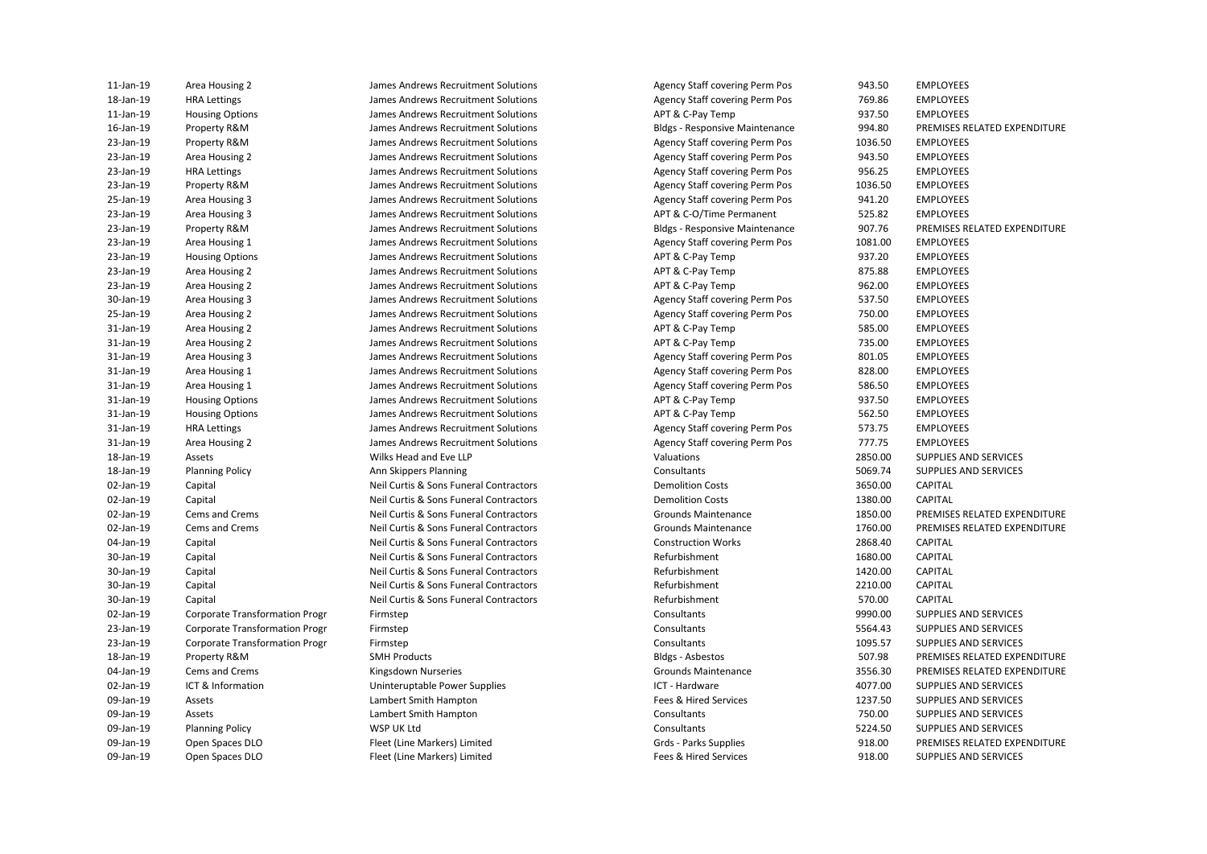| 11-Jan-19 | Area Housing 2                        | James Andrews Recruitment Solutions    | Agency Staff covering Perm Pos        | 943.50  | <b>EMPLOYEES</b>             |
|-----------|---------------------------------------|----------------------------------------|---------------------------------------|---------|------------------------------|
| 18-Jan-19 | <b>HRA Lettings</b>                   | James Andrews Recruitment Solutions    | Agency Staff covering Perm Pos        | 769.86  | <b>EMPLOYEES</b>             |
| 11-Jan-19 | <b>Housing Options</b>                | James Andrews Recruitment Solutions    | APT & C-Pay Temp                      | 937.50  | <b>EMPLOYEES</b>             |
| 16-Jan-19 | Property R&M                          | James Andrews Recruitment Solutions    | <b>Bldgs - Responsive Maintenance</b> | 994.80  | PREMISES RELATED EXPENDITURE |
| 23-Jan-19 | Property R&M                          | James Andrews Recruitment Solutions    | <b>Agency Staff covering Perm Pos</b> | 1036.50 | <b>EMPLOYEES</b>             |
| 23-Jan-19 | Area Housing 2                        | James Andrews Recruitment Solutions    | Agency Staff covering Perm Pos        | 943.50  | <b>EMPLOYEES</b>             |
| 23-Jan-19 | <b>HRA Lettings</b>                   | James Andrews Recruitment Solutions    | Agency Staff covering Perm Pos        | 956.25  | <b>EMPLOYEES</b>             |
| 23-Jan-19 | Property R&M                          | James Andrews Recruitment Solutions    | Agency Staff covering Perm Pos        | 1036.50 | <b>EMPLOYEES</b>             |
| 25-Jan-19 | Area Housing 3                        | James Andrews Recruitment Solutions    | <b>Agency Staff covering Perm Pos</b> | 941.20  | <b>EMPLOYEES</b>             |
| 23-Jan-19 | Area Housing 3                        | James Andrews Recruitment Solutions    | APT & C-O/Time Permanent              | 525.82  | <b>EMPLOYEES</b>             |
| 23-Jan-19 | Property R&M                          | James Andrews Recruitment Solutions    | <b>Bldgs - Responsive Maintenance</b> | 907.76  | PREMISES RELATED EXPENDITURE |
| 23-Jan-19 | Area Housing 1                        | James Andrews Recruitment Solutions    | Agency Staff covering Perm Pos        | 1081.00 | <b>EMPLOYEES</b>             |
| 23-Jan-19 | <b>Housing Options</b>                | James Andrews Recruitment Solutions    | APT & C-Pay Temp                      | 937.20  | <b>EMPLOYEES</b>             |
| 23-Jan-19 | Area Housing 2                        | James Andrews Recruitment Solutions    | APT & C-Pay Temp                      | 875.88  | <b>EMPLOYEES</b>             |
| 23-Jan-19 | Area Housing 2                        | James Andrews Recruitment Solutions    | APT & C-Pay Temp                      | 962.00  | <b>EMPLOYEES</b>             |
| 30-Jan-19 | Area Housing 3                        | James Andrews Recruitment Solutions    | Agency Staff covering Perm Pos        | 537.50  | <b>EMPLOYEES</b>             |
| 25-Jan-19 | Area Housing 2                        | James Andrews Recruitment Solutions    | Agency Staff covering Perm Pos        | 750.00  | <b>EMPLOYEES</b>             |
| 31-Jan-19 | Area Housing 2                        | James Andrews Recruitment Solutions    | APT & C-Pay Temp                      | 585.00  | <b>EMPLOYEES</b>             |
| 31-Jan-19 | Area Housing 2                        | James Andrews Recruitment Solutions    | APT & C-Pay Temp                      | 735.00  | <b>EMPLOYEES</b>             |
| 31-Jan-19 | Area Housing 3                        | James Andrews Recruitment Solutions    | Agency Staff covering Perm Pos        | 801.05  | <b>EMPLOYEES</b>             |
| 31-Jan-19 | Area Housing 1                        | James Andrews Recruitment Solutions    | <b>Agency Staff covering Perm Pos</b> | 828.00  | <b>EMPLOYEES</b>             |
| 31-Jan-19 | Area Housing 1                        | James Andrews Recruitment Solutions    | Agency Staff covering Perm Pos        | 586.50  | <b>EMPLOYEES</b>             |
| 31-Jan-19 | <b>Housing Options</b>                | James Andrews Recruitment Solutions    | APT & C-Pay Temp                      | 937.50  | <b>EMPLOYEES</b>             |
| 31-Jan-19 | <b>Housing Options</b>                | James Andrews Recruitment Solutions    | APT & C-Pay Temp                      | 562.50  | <b>EMPLOYEES</b>             |
| 31-Jan-19 | <b>HRA Lettings</b>                   | James Andrews Recruitment Solutions    | <b>Agency Staff covering Perm Pos</b> | 573.75  | <b>EMPLOYEES</b>             |
| 31-Jan-19 | Area Housing 2                        | James Andrews Recruitment Solutions    | <b>Agency Staff covering Perm Pos</b> | 777.75  | <b>EMPLOYEES</b>             |
| 18-Jan-19 | Assets                                | Wilks Head and Eve LLP                 | Valuations                            | 2850.00 | SUPPLIES AND SERVICES        |
| 18-Jan-19 | <b>Planning Policy</b>                | Ann Skippers Planning                  | Consultants                           | 5069.74 | SUPPLIES AND SERVICES        |
| 02-Jan-19 | Capital                               | Neil Curtis & Sons Funeral Contractors | <b>Demolition Costs</b>               | 3650.00 | <b>CAPITAL</b>               |
| 02-Jan-19 | Capital                               | Neil Curtis & Sons Funeral Contractors | <b>Demolition Costs</b>               | 1380.00 | <b>CAPITAL</b>               |
| 02-Jan-19 | Cems and Crems                        | Neil Curtis & Sons Funeral Contractors | Grounds Maintenance                   | 1850.00 | PREMISES RELATED EXPENDITURE |
| 02-Jan-19 | Cems and Crems                        | Neil Curtis & Sons Funeral Contractors | Grounds Maintenance                   | 1760.00 | PREMISES RELATED EXPENDITURE |
| 04-Jan-19 | Capital                               | Neil Curtis & Sons Funeral Contractors | <b>Construction Works</b>             | 2868.40 | <b>CAPITAL</b>               |
| 30-Jan-19 | Capital                               | Neil Curtis & Sons Funeral Contractors | Refurbishment                         | 1680.00 | <b>CAPITAL</b>               |
| 30-Jan-19 | Capital                               | Neil Curtis & Sons Funeral Contractors | Refurbishment                         | 1420.00 | <b>CAPITAL</b>               |
| 30-Jan-19 | Capital                               | Neil Curtis & Sons Funeral Contractors | Refurbishment                         | 2210.00 | <b>CAPITAL</b>               |
| 30-Jan-19 | Capital                               | Neil Curtis & Sons Funeral Contractors | Refurbishment                         | 570.00  | CAPITAL                      |
| 02-Jan-19 | Corporate Transformation Progr        | Firmstep                               | Consultants                           | 9990.00 | SUPPLIES AND SERVICES        |
| 23-Jan-19 | <b>Corporate Transformation Progr</b> | Firmstep                               | Consultants                           | 5564.43 | SUPPLIES AND SERVICES        |
| 23-Jan-19 | <b>Corporate Transformation Progr</b> | Firmstep                               | Consultants                           | 1095.57 | SUPPLIES AND SERVICES        |
| 18-Jan-19 | Property R&M                          | <b>SMH Products</b>                    | Bldgs - Asbestos                      | 507.98  | PREMISES RELATED EXPENDITURE |
| 04-Jan-19 | Cems and Crems                        | Kingsdown Nurseries                    | Grounds Maintenance                   | 3556.30 | PREMISES RELATED EXPENDITURE |
| 02-Jan-19 | ICT & Information                     |                                        | ICT - Hardware                        | 4077.00 | SUPPLIES AND SERVICES        |
| 09-Jan-19 | Assets                                | Uninteruptable Power Supplies          | Fees & Hired Services                 | 1237.50 | SUPPLIES AND SERVICES        |
| 09-Jan-19 | Assets                                | Lambert Smith Hampton                  | Consultants                           | 750.00  | SUPPLIES AND SERVICES        |
|           |                                       | Lambert Smith Hampton                  |                                       |         |                              |
| 09-Jan-19 | <b>Planning Policy</b>                | WSP UK Ltd                             | Consultants                           | 5224.50 | SUPPLIES AND SERVICES        |
| 09-Jan-19 | Open Spaces DLO                       | Fleet (Line Markers) Limited           | Grds - Parks Supplies                 | 918.00  | PREMISES RELATED EXPENDITURE |
| 09-Jan-19 | Open Spaces DLO                       | Fleet (Line Markers) Limited           | Fees & Hired Services                 | 918.00  | <b>SUPPLIES AND SERVICES</b> |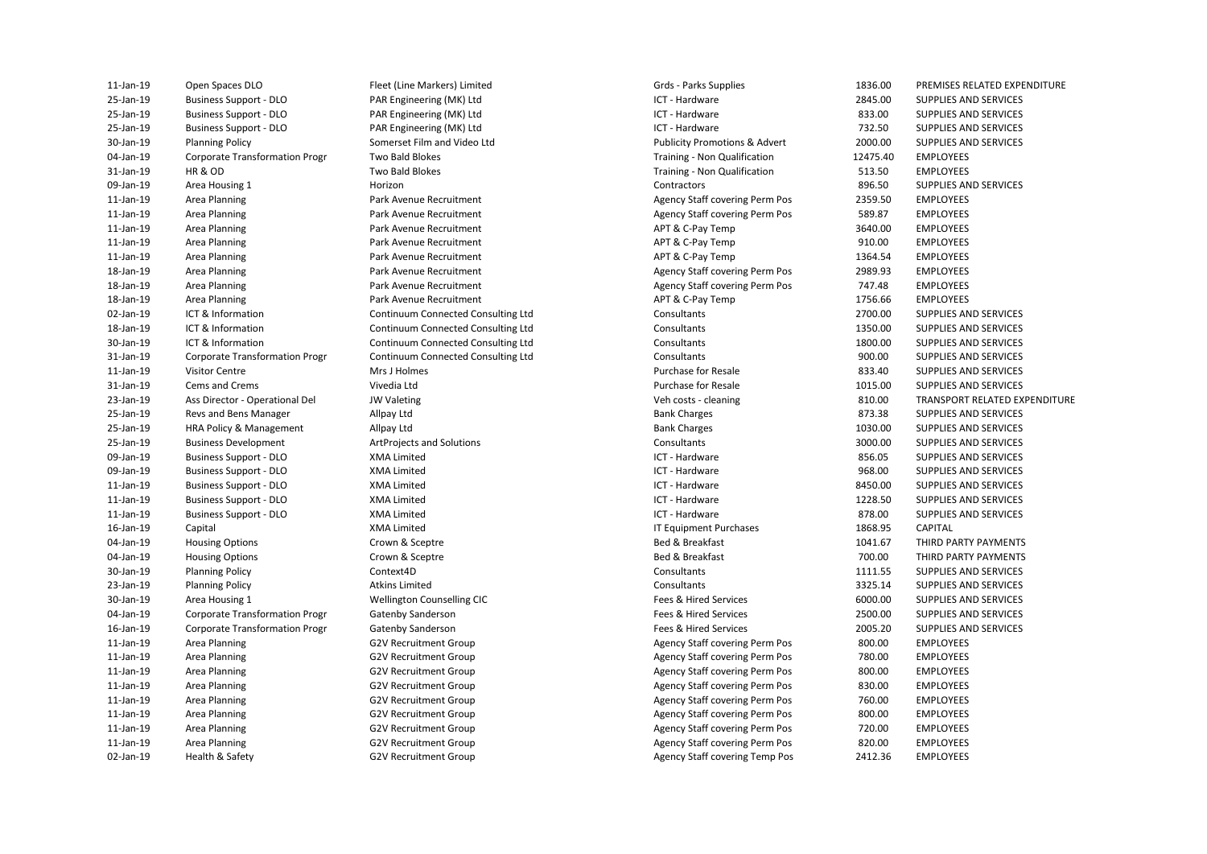| 11-Jan-19       | Open Spaces DLO                       | Fleet (Line Markers) Limited       | Grds - Parks Supplies                    | 1836.00  | <b>PREMISES RI</b> |
|-----------------|---------------------------------------|------------------------------------|------------------------------------------|----------|--------------------|
| 25-Jan-19       | <b>Business Support - DLO</b>         | PAR Engineering (MK) Ltd           | ICT - Hardware                           | 2845.00  | <b>SUPPLIES AN</b> |
| 25-Jan-19       | <b>Business Support - DLO</b>         | PAR Engineering (MK) Ltd           | ICT - Hardware                           | 833.00   | <b>SUPPLIES AN</b> |
| 25-Jan-19       | <b>Business Support - DLO</b>         | PAR Engineering (MK) Ltd           | ICT - Hardware                           | 732.50   | <b>SUPPLIES AN</b> |
| 30-Jan-19       | <b>Planning Policy</b>                | Somerset Film and Video Ltd        | <b>Publicity Promotions &amp; Advert</b> | 2000.00  | <b>SUPPLIES AN</b> |
| 04-Jan-19       | <b>Corporate Transformation Progr</b> | Two Bald Blokes                    | Training - Non Qualification             | 12475.40 | <b>EMPLOYEES</b>   |
| 31-Jan-19       | HR & OD                               | Two Bald Blokes                    | Training - Non Qualification             | 513.50   | <b>EMPLOYEES</b>   |
| 09-Jan-19       | Area Housing 1                        | Horizon                            | Contractors                              | 896.50   | <b>SUPPLIES AN</b> |
| 11-Jan-19       | Area Planning                         | Park Avenue Recruitment            | Agency Staff covering Perm Pos           | 2359.50  | <b>EMPLOYEES</b>   |
| 11-Jan-19       | Area Planning                         | Park Avenue Recruitment            | Agency Staff covering Perm Pos           | 589.87   | <b>EMPLOYEES</b>   |
| 11-Jan-19       | Area Planning                         | Park Avenue Recruitment            | APT & C-Pay Temp                         | 3640.00  | <b>EMPLOYEES</b>   |
| $11$ -Jan- $19$ | Area Planning                         | Park Avenue Recruitment            | APT & C-Pay Temp                         | 910.00   | <b>EMPLOYEES</b>   |
| 11-Jan-19       | Area Planning                         | Park Avenue Recruitment            | APT & C-Pay Temp                         | 1364.54  | <b>EMPLOYEES</b>   |
| 18-Jan-19       | Area Planning                         | Park Avenue Recruitment            | Agency Staff covering Perm Pos           | 2989.93  | <b>EMPLOYEES</b>   |
| 18-Jan-19       | Area Planning                         | Park Avenue Recruitment            | Agency Staff covering Perm Pos           | 747.48   | <b>EMPLOYEES</b>   |
| 18-Jan-19       | Area Planning                         | Park Avenue Recruitment            | APT & C-Pay Temp                         | 1756.66  | <b>EMPLOYEES</b>   |
| 02-Jan-19       | ICT & Information                     | Continuum Connected Consulting Ltd | Consultants                              | 2700.00  | <b>SUPPLIES AN</b> |
| 18-Jan-19       | ICT & Information                     | Continuum Connected Consulting Ltd | Consultants                              | 1350.00  | <b>SUPPLIES AN</b> |
| 30-Jan-19       | ICT & Information                     | Continuum Connected Consulting Ltd | Consultants                              | 1800.00  | <b>SUPPLIES AN</b> |
| 31-Jan-19       | <b>Corporate Transformation Progr</b> | Continuum Connected Consulting Ltd | Consultants                              | 900.00   | <b>SUPPLIES AN</b> |
| 11-Jan-19       | <b>Visitor Centre</b>                 | Mrs J Holmes                       | <b>Purchase for Resale</b>               | 833.40   | <b>SUPPLIES AN</b> |
| 31-Jan-19       | Cems and Crems                        | Vivedia Ltd                        | <b>Purchase for Resale</b>               | 1015.00  | <b>SUPPLIES AN</b> |
| 23-Jan-19       | Ass Director - Operational Del        | <b>JW Valeting</b>                 | Veh costs - cleaning                     | 810.00   | <b>TRANSPORT</b>   |
| 25-Jan-19       | Revs and Bens Manager                 | Allpay Ltd                         | <b>Bank Charges</b>                      | 873.38   | <b>SUPPLIES AN</b> |
| 25-Jan-19       | HRA Policy & Management               | Allpay Ltd                         | <b>Bank Charges</b>                      | 1030.00  | <b>SUPPLIES AN</b> |
| 25-Jan-19       | <b>Business Development</b>           | <b>ArtProjects and Solutions</b>   | Consultants                              | 3000.00  | <b>SUPPLIES AN</b> |
| 09-Jan-19       | <b>Business Support - DLO</b>         | <b>XMA Limited</b>                 | ICT - Hardware                           | 856.05   | <b>SUPPLIES AN</b> |
| 09-Jan-19       | <b>Business Support - DLO</b>         | <b>XMA Limited</b>                 | ICT - Hardware                           | 968.00   | <b>SUPPLIES AN</b> |
| 11-Jan-19       | <b>Business Support - DLO</b>         | <b>XMA Limited</b>                 | ICT - Hardware                           | 8450.00  | <b>SUPPLIES AN</b> |
| 11-Jan-19       | <b>Business Support - DLO</b>         | <b>XMA Limited</b>                 | ICT - Hardware                           | 1228.50  | <b>SUPPLIES AN</b> |
| 11-Jan-19       | <b>Business Support - DLO</b>         | <b>XMA Limited</b>                 | ICT - Hardware                           | 878.00   | <b>SUPPLIES AN</b> |
| 16-Jan-19       | Capital                               | <b>XMA Limited</b>                 | IT Equipment Purchases                   | 1868.95  | CAPITAL            |
| 04-Jan-19       | <b>Housing Options</b>                | Crown & Sceptre                    | Bed & Breakfast                          | 1041.67  | THIRD PART         |
| 04-Jan-19       | <b>Housing Options</b>                | Crown & Sceptre                    | Bed & Breakfast                          | 700.00   | <b>THIRD PART</b>  |
| 30-Jan-19       | <b>Planning Policy</b>                | Context4D                          | Consultants                              | 1111.55  | <b>SUPPLIES AN</b> |
| 23-Jan-19       | <b>Planning Policy</b>                | <b>Atkins Limited</b>              | Consultants                              | 3325.14  | <b>SUPPLIES AN</b> |
| 30-Jan-19       | Area Housing 1                        | Wellington Counselling CIC         | Fees & Hired Services                    | 6000.00  | <b>SUPPLIES AN</b> |
| 04-Jan-19       | <b>Corporate Transformation Progr</b> | Gatenby Sanderson                  | Fees & Hired Services                    | 2500.00  | <b>SUPPLIES AN</b> |
| 16-Jan-19       | <b>Corporate Transformation Progr</b> | Gatenby Sanderson                  | Fees & Hired Services                    | 2005.20  | <b>SUPPLIES AN</b> |
| 11-Jan-19       | Area Planning                         | <b>G2V Recruitment Group</b>       | Agency Staff covering Perm Pos           | 800.00   | <b>EMPLOYEES</b>   |
| 11-Jan-19       | Area Planning                         | <b>G2V Recruitment Group</b>       | <b>Agency Staff covering Perm Pos</b>    | 780.00   | <b>EMPLOYEES</b>   |
| 11-Jan-19       | Area Planning                         | <b>G2V Recruitment Group</b>       | Agency Staff covering Perm Pos           | 800.00   | <b>EMPLOYEES</b>   |
| 11-Jan-19       | Area Planning                         | <b>G2V Recruitment Group</b>       | Agency Staff covering Perm Pos           | 830.00   | <b>EMPLOYEES</b>   |
| 11-Jan-19       | Area Planning                         | G2V Recruitment Group              | Agency Staff covering Perm Pos           | 760.00   | <b>EMPLOYEES</b>   |
| 11-Jan-19       | Area Planning                         | <b>G2V Recruitment Group</b>       | Agency Staff covering Perm Pos           | 800.00   | <b>EMPLOYEES</b>   |
| 11-Jan-19       | Area Planning                         | <b>G2V Recruitment Group</b>       | Agency Staff covering Perm Pos           | 720.00   | <b>EMPLOYEES</b>   |
| 11-Jan-19       | Area Planning                         | <b>G2V Recruitment Group</b>       | <b>Agency Staff covering Perm Pos</b>    | 820.00   | <b>EMPLOYEES</b>   |
| 02-Jan-19       | Health & Safety                       | <b>G2V Recruitment Group</b>       | <b>Agency Staff covering Temp Pos</b>    | 2412.36  | <b>EMPLOYEES</b>   |
|                 |                                       |                                    |                                          |          |                    |

Somerset Film and Video Ltd Fleet (Line Markers) Limited The Spaces Control of Grand Grands Care Supplies The Spaces of the Spaces Parks Supplies Control of the Spaces of Parks Supplies Control of the Spaces of Parks Supplies The Spaces of the Spaces

Grds - Parks Supplies 04-Jan-19 Corporate Transformation Progr Two Bald Blokes Training - Non Qualification 21475.40 EMPLOYEES 31-Jan-19 HR & OD **TWO Bald Blokes TWO Bald Blokes** Training - Non Qualification 513.50 EMPLOYEES 11-Jan-19 Area Planning **Park Avenue Recruitment** Agency Staff covering Perm Pos 2359.50 EMPLOYEES 11-Jan-19 Area Planning **Park Avenue Recruitment** Agency Staff covering Perm Pos 589.87 EMPLOYEES APT & C-Pay Temp APT & C-Pay Temp APT & C-Pay Temp 18-Jan-19 Area Planning **Park Avenue Recruitment** Agency Staff covering Perm Pos 2989.93 EMPLOYEES 18-Jan-19 Area Planning **Park Avenue Recruitment** Agency Staff covering Perm Pos 747.48 EMPLOYEES APT & C-Pay Temp 11-Jan-19 Area Planning Carroll Cameron Group Carroll Correspondent Group Agency Staff covering Perm Pos 800.00 EMPLOYEES 11-Jan-19 Area Planning Carroll Cameron Group Carroll Correspondent Group Agency Staff covering Perm Pos 780.00 EMPLOYEES 11-Jan-19 Area Planning Carroll Cameron Group Carroll Correspondent Group Agency Staff covering Perm Pos 800.00 EMPLOYEES 11-Jan-19 Area Planning Carroll Cameron Group Carroll Correspondent Group Agency Staff covering Perm Pos 830.00 EMPLOYEES 11-Jan-19 Area Planning Carroll Cameron Group Carroll Correspondent Group Agency Staff covering Perm Pos 760.00 EMPLOYEES 11-Jan-19 Area Planning Carroll Cameron Group Carroll Correspondent Group Agency Staff covering Perm Pos 800.00 EMPLOYEES 11-Jan-19 Area Planning Carroll Cameron Carroll Group Cassette Covernance Covert Agency Staff covering Perm Pos 720.00 EMPLOYEES 11-Jan-19 Area Planning Carroll Cameron Group Carroll Correspondent Group Agency Staff covering Perm Pos 820.00 EMPLOYEES 25-Jan-19 Business Support - DLO PAR Engineering (MK) Ltd ICT - Hardware 2845.00 SUPPLIES AND SERVICES 25-Jan-19 Business Support - DLO PAR Engineering (MK) Ltd ICT - Hardware ICT - Hardware 833.00 SUPPLIES AND SERVICES PAR Engineering (MK) Ltd **ICT - Hardware 1996** CT - Hardware 732.50 SUPPLIES AND SERVICES Publicity Promotions & Advert 2000.00 SUPPLIES AND SERVICES 09-Jan-19 Area Housing 1 **Mateur Area Housing 1** Horizon Contractors Contractors **896.50** SUPPLIES AND SERVICES 11-Jan-19 Area Planning **Park Avenue Recruitment** APT & C-Pay Temp 3640.00 EMPLOYEES 11-Jan-19 Area Planning **Park Avenue Recruitment** APT & C-Pay Temp 910.00 EMPLOYEES 11-Jan-19 Area Planning **Park Avenue Recruitment** APT & C-Pay Temp 1364.54 EMPLOYEES 18-Jan-19 Area Planning **Park Avenue Recruitment** APT & C-Pay Temp 1756.66 EMPLOYEES 02-Jan-19 ICT & Information Continuum Connected Consulting Ltd Consultants 2700.00 SUPPLIES AND SERVICES nation 18-January 20-January 20-January 20-January 20-January 20-January 20-January 20-January 20-January 20-January 20-January 20-January 20-January 20-January 20-January 20-January 20-January 20-January 20-January 20-Jan 30-Jan-19 ICT & Information Continuum Connected Consulting Ltd Consultants 1800.00 SUPPLIES AND SERVICES 31-Jan-19 Corporate Transformation Progr Continuum Connected Consulting Ltd Consultants 900.00 SUPPLIES AND SERVICES net 11-January 11-January 11-January 2011 12:00 Purchase for Resale 833.40 SUPPLIES AND SERVICES 31-Jan-19 Cems and Crems Vivedia Ltd Purchase for Resale 1015.00 SUPPLIES AND SERVICES 23-Jan-19 Ass Director - Operational Del JW Valeting Veh costs - cleaning 810.00 TRANSPORT RELATED EXPENDITURE 25-Jan-19 Revs and Bens Manager Allpay Ltd Bank Charges 873.38 SUPPLIES AND SERVICES 25-Jan-19 HRA Policy & Management Allpay Ltd Bank Charges 1030.00 SUPPLIES AND SERVICES 25-Jan-19 Business Development ArtProjects and Solutions Consultants 3000.00 SUPPLIES AND SERVICES 09-Jan-19 Business Support - DLO XMA Limited ICT - Hardware 856.05 SUPPLIES AND SERVICES 09-Jan-19 Business Support - DLO XMA Limited ICT - Hardware 968.00 SUPPLIES AND SERVICES 11-Jan-19 Business Support - DLO XMA Limited ICT - Hardware 8450.00 SUPPLIES AND SERVICES 11-Jan-19 Business Support - DLO XMA Limited ICT - Hardware 1228.50 SUPPLIES AND SERVICES 11-Jan-19 Business Support - DLO XMA Limited ICT - Hardware 878.00 SUPPLIES AND SERVICES 16-Jan-19 Capital XMA Limited IT Equipment Purchases 1868.95 CAPITAL 04-Jan-19 Housing Options external crown & Sceptre Crown Sceptre Research 2012 and Bed & Breakfast 2011.67 THIRD PARTY PAYMENTS 04-Jan-19 Housing Options external crown & Sceptre Crown Sceptre Bed & Breakfast Bed & Breakfast 200.00 THIRD PARTY PAYMENTS 30-Jan-19 Planning Policy Context4D Consultants 1111.55 SUPPLIES AND SERVICES 23-Jan-19 Planning Policy Atkins Limited Consultants 3325.14 SUPPLIES AND SERVICES 30-Jan-19 Area Housing 1 Wellington Counselling CIC Fees & Hired Services 6000.00 SUPPLIES AND SERVICES 04-Jan-19 Corporate Transformation Progr Gatenby Sanderson Fees & Hired Services 2500.00 SUPPLIES AND SERVICES 16-Jan-19 Corporate Transformation Progr Gatenby Sanderson Fees & Hired Services 2005.20 SUPPLIES AND SERVICES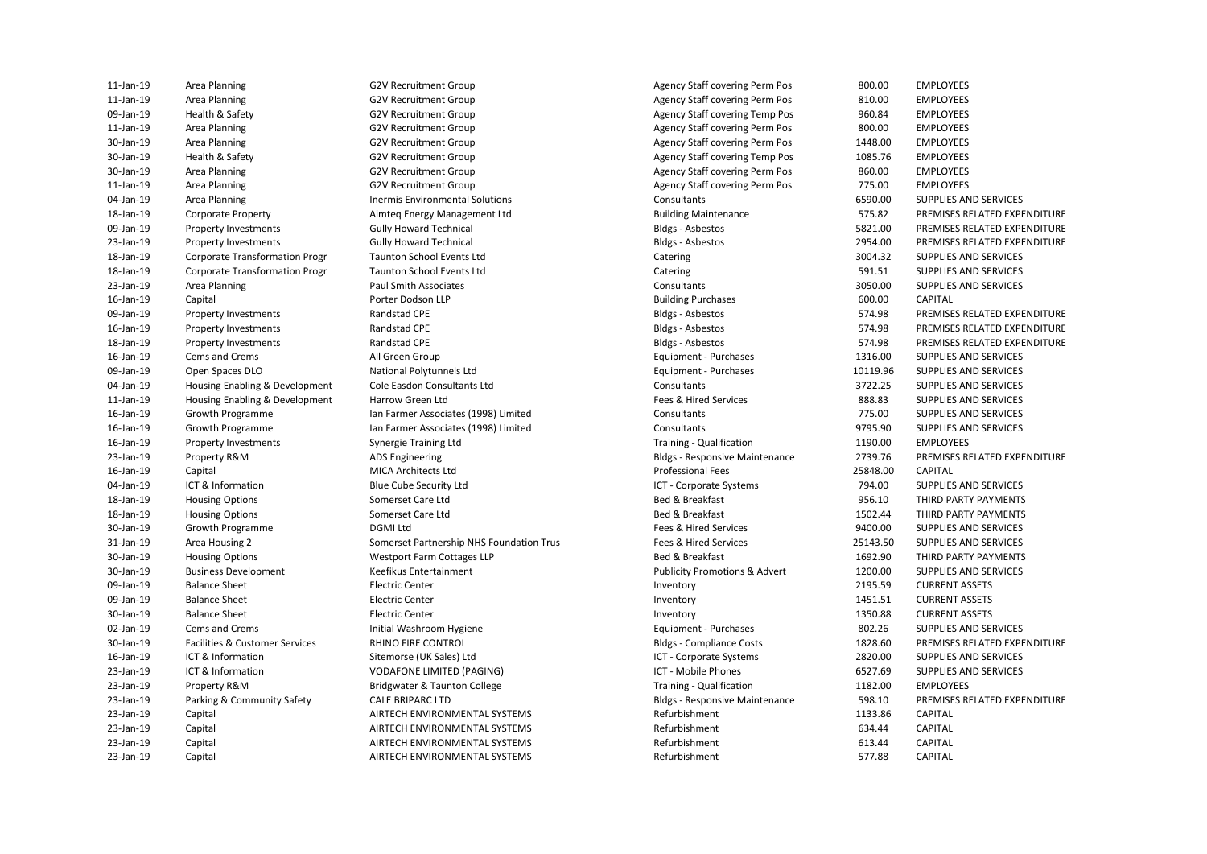11-Jan-19 Area Planning and Same G2V Recruitment Group and Same Agency Staff covering Perm Pos 800.00 EMPLOYEES 11-Jan-19 Area Planning and Same G2V Recruitment Group and Agency Staff covering Perm Pos 810.00 EMPLOYEES 09-Jan-19 Health & Safety G2V Recruitment Group Agency Staff covering Temp Pos 960.84 EMPLOYEES 11-Jan-19 Area Planning and Same G2V Recruitment Group and Same Agency Staff covering Perm Pos 800.00 EMPLOYEES 30-Jan-19 Area Planning and Same G2V Recruitment Group and Same Agency Staff covering Perm Pos 1448.00 EMPLOYEES 30-Jan-19 Health & Safety **Agency Staff Covering Temp Pos** Agency Staff covering Temp Pos 1085.76 EMPLOYEES 30-Jan-19 Area Planning and Same G2V Recruitment Group and Same Agency Staff covering Perm Pos 860.00 EMPLOYEES 11-Jan-19 Area Planning and Same G2V Recruitment Group and Same Agency Staff covering Perm Pos 775.00 EMPLOYEES 09-Jan-19 Open Spaces DLO **National Polytunnels Ltd** Equipment - Purchases 10119.96 SUPPLIES AND SERVICES 04-Jan-19 Housing Enabling & Development Cole Easdon Consultants Ltd Consultants 3722.25 SUPPLIES AND SERVICES 11-Jan-19 Housing Enabling & Development Harrow Green Ltd **Fees & Hired Services** Fees & Hired Services and SERVICES AND SERVICES 23-Jan-19 Property R&M ADS Engineering Bldgs - Responsive Maintenance 2739.76 PREMISES RELATED EXPENDITURE 30-Jan-19 Housing Options Nethor States Westport Farm Cottages LLP Bed & Breakfast 2002 Bed & Breakfast 2003 THIRD PARTY PAYMENTS 30-Jan-19 Business Development Keefikus Entertainment Publicity Promotions & Advert 1200.00 SUPPLIES AND SERVICES 23-Jan-19 ICT & Information VODAFONE LIMITED (PAGING) ICT - Mobile Phones 6527.69 SUPPLIES AND SERVICES 04-Jan-19 Area Planning Computer Consultants Inermis Environmental Solutions Consultants Consultants Consultants 6590.00 SUPPLIES AND SERVICES 18-Jan-19 Corporate Property Aimteq Energy Management Ltd Building Maintenance 575.82 PREMISES RELATED EXPENDITURE 09-Jan-19 Property Investments Gully Howard Technical Gully Howard Technical Bldgs - Asbestos 5821.00 PREMISES RELATED EXPENDITURE 23-Jan-19 Property Investments Gully Howard Technical Gully Howard Technical Bldgs - Asbestos 2954.00 PREMISES RELATED EXPENDITURE 18-Jan-19 Corporate Transformation Progr Taunton School Events Ltd Catering 3004.32 SUPPLIES AND SERVICES 18-Jan-19 Corporate Transformation Progr Taunton School Events Ltd Catering Catering 591.51 SUPPLIES AND SERVICES 23-Jan-19 Area Planning Paul Smith Associates Consultants 3050.00 SUPPLIES AND SERVICES 16-Jan-19 Capital Porter Dodson LLP Building Purchases 600.00 CAPITAL 09-Jan-19 Property Investments **Randstad CPE** Research CPE Bldgs - Asbestos 574.98 PREMISES RELATED EXPENDITURE 16-Jan-19 Property Investments **Randstad CPE** Bldgs-Asbestos Bldgs - Asbestos 574.98 PREMISES RELATED EXPENDITURE 18-Jan-19 Property Investments **Randstad CPE** Research CPE Bldgs - Asbestos 574.98 PREMISES RELATED EXPENDITURE 16-Jan-19 Cems and Crems All Green Group Equipment - Purchases 1316.00 SUPPLIES AND SERVICES 16-Jan-19 Growth Programme Ian Farmer Associates (1998) Limited Consultants 775.00 SUPPLIES AND SERVICES 16-Jan-19 Growth Programme Ian Farmer Associates (1998) Limited Consultants 9795.90 SUPPLIES AND SERVICES 16-Jan-19 Property Investments Synergie Training Ltd Training - Qualification 1190.00 EMPLOYEES 16-Jan-19 Capital MICA Architects Ltd Professional Fees 25848.00 CAPITAL 04-Jan-19 ICT & Information Blue Cube Security Ltd ICT - Corporate Systems 794.00 SUPPLIES AND SERVICES 18-Jan-19 Housing Options Somerset Care Ltd Bed & Breakfast Bed & Breakfast Bed & Breakfast 956.10 THIRD PARTY PAYMENTS 18-Jan-19 Housing Options Somerset Care Ltd Somerset Care Ltd Bed & Breakfast 2002.44 THIRD PARTY PAYMENTS 30-Jan-19 Growth Programme DGMI Ltd Fees & Hired Services 9400.00 SUPPLIES AND SERVICES 31-Jan-19 Area Housing 2 Somerset Partnership NHS Foundation Trus Fees & Hired Services 25143.50 SUPPLIES AND SERVICES 09-Jan-19 Balance Sheet Electric Center Inventory 2195.59 CURRENT ASSETS 09-Jan-19 Balance Sheet **Electric Center Center Inventory** Inventory 1451.51 CURRENT ASSETS 30-Jan-19 Balance Sheet Electric Center Inventory 1350.88 CURRENT ASSETS 02-Jan-19 Cems and Crems **Initial Washroom Hygiene** entity and the Equipment - Purchases 802.26 SUPPLIES AND SERVICES 30-Jan-19 Facilities & Customer Services RHINO FIRE CONTROL Bldgs - Compliance Costs 1828.60 PREMISES RELATED EXPENDITURE 16-Jan-19 ICT & Information Sitemorse (UK Sales) Ltd ICT - Corporate Systems 2820.00 SUPPLIES AND SERVICES 23-Jan-19 Property R&M **Bridgwater & Taunton College** Training - Qualification 1182.00 EMPLOYEES 23-Jan-19 Parking & Community Safety CALE BRIPARC LTD Bldgs - Responsive Maintenance 598.10 PREMISES RELATED EXPENDITURE 23-Jan-19 Capital AIRTECH ENVIRONMENTAL SYSTEMS Refurbishment 1133.86 CAPITAL 23-Jan-19 Capital AIRTECH ENVIRONMENTAL SYSTEMS Refurbishment 634.44 CAPITAL 23-Jan-19 Capital AIRTECH ENVIRONMENTAL SYSTEMS Refurbishment 613.44 CAPITAL 23-Jan-19 Capital AIRTECH ENVIRONMENTAL SYSTEMS Refurbishment 577.88 CAPITAL

Synergie Training Ltd **MICA Architects Ltd Blue Cube Security Ltd** Initial Washroom Hygiene **RHINO FIRE CONTROL** Sitemorse (UK Sales) Ltd CALE BRIPARC LTD

**Bldgs - Asbestos Bldgs - Asbestos Bldgs - Ashestos Bldgs - Asbestos** Bldgs - Asbestos **Training - Qualification**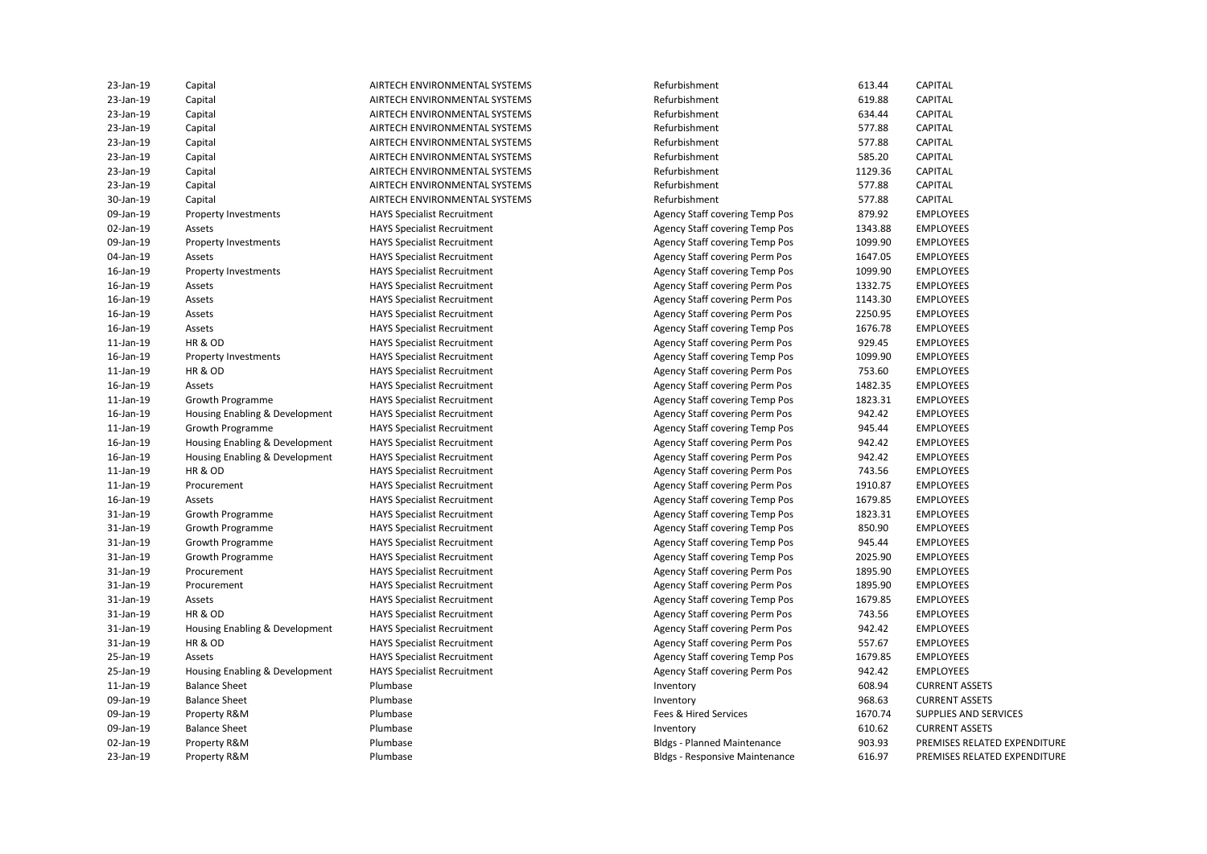| 23-Jan-19 | Capital                        | AIRTECH ENVIRONMENTAL SYSTEMS      | Refurbishment                         | 613.44  | <b>CAPITAL</b>               |
|-----------|--------------------------------|------------------------------------|---------------------------------------|---------|------------------------------|
| 23-Jan-19 | Capital                        | AIRTECH ENVIRONMENTAL SYSTEMS      | Refurbishment                         | 619.88  | <b>CAPITAL</b>               |
| 23-Jan-19 | Capital                        | AIRTECH ENVIRONMENTAL SYSTEMS      | Refurbishment                         | 634.44  | <b>CAPITAL</b>               |
| 23-Jan-19 | Capital                        | AIRTECH ENVIRONMENTAL SYSTEMS      | Refurbishment                         | 577.88  | CAPITAL                      |
| 23-Jan-19 | Capital                        | AIRTECH ENVIRONMENTAL SYSTEMS      | Refurbishment                         | 577.88  | CAPITAL                      |
| 23-Jan-19 | Capital                        | AIRTECH ENVIRONMENTAL SYSTEMS      | Refurbishment                         | 585.20  | CAPITAL                      |
| 23-Jan-19 | Capital                        | AIRTECH ENVIRONMENTAL SYSTEMS      | Refurbishment                         | 1129.36 | CAPITAL                      |
| 23-Jan-19 | Capital                        | AIRTECH ENVIRONMENTAL SYSTEMS      | Refurbishment                         | 577.88  | <b>CAPITAL</b>               |
| 30-Jan-19 | Capital                        | AIRTECH ENVIRONMENTAL SYSTEMS      | Refurbishment                         | 577.88  | <b>CAPITAL</b>               |
| 09-Jan-19 | Property Investments           | <b>HAYS Specialist Recruitment</b> | <b>Agency Staff covering Temp Pos</b> | 879.92  | <b>EMPLOYEES</b>             |
| 02-Jan-19 | Assets                         | <b>HAYS Specialist Recruitment</b> | Agency Staff covering Temp Pos        | 1343.88 | <b>EMPLOYEES</b>             |
| 09-Jan-19 | Property Investments           | <b>HAYS Specialist Recruitment</b> | Agency Staff covering Temp Pos        | 1099.90 | <b>EMPLOYEES</b>             |
| 04-Jan-19 | Assets                         | <b>HAYS Specialist Recruitment</b> | Agency Staff covering Perm Pos        | 1647.05 | <b>EMPLOYEES</b>             |
| 16-Jan-19 | Property Investments           | <b>HAYS Specialist Recruitment</b> | Agency Staff covering Temp Pos        | 1099.90 | <b>EMPLOYEES</b>             |
| 16-Jan-19 | Assets                         | <b>HAYS Specialist Recruitment</b> | Agency Staff covering Perm Pos        | 1332.75 | <b>EMPLOYEES</b>             |
| 16-Jan-19 | Assets                         | <b>HAYS Specialist Recruitment</b> | Agency Staff covering Perm Pos        | 1143.30 | <b>EMPLOYEES</b>             |
| 16-Jan-19 | Assets                         | <b>HAYS Specialist Recruitment</b> | Agency Staff covering Perm Pos        | 2250.95 | <b>EMPLOYEES</b>             |
| 16-Jan-19 | Assets                         | <b>HAYS Specialist Recruitment</b> | <b>Agency Staff covering Temp Pos</b> | 1676.78 | <b>EMPLOYEES</b>             |
| 11-Jan-19 | HR&OD                          | <b>HAYS Specialist Recruitment</b> | Agency Staff covering Perm Pos        | 929.45  | <b>EMPLOYEES</b>             |
| 16-Jan-19 | Property Investments           | <b>HAYS Specialist Recruitment</b> | <b>Agency Staff covering Temp Pos</b> | 1099.90 | <b>EMPLOYEES</b>             |
| 11-Jan-19 | HR&OD                          | <b>HAYS Specialist Recruitment</b> | Agency Staff covering Perm Pos        | 753.60  | <b>EMPLOYEES</b>             |
| 16-Jan-19 | Assets                         | <b>HAYS Specialist Recruitment</b> | Agency Staff covering Perm Pos        | 1482.35 | <b>EMPLOYEES</b>             |
| 11-Jan-19 | Growth Programme               | <b>HAYS Specialist Recruitment</b> | Agency Staff covering Temp Pos        | 1823.31 | <b>EMPLOYEES</b>             |
| 16-Jan-19 | Housing Enabling & Development | <b>HAYS Specialist Recruitment</b> | Agency Staff covering Perm Pos        | 942.42  | <b>EMPLOYEES</b>             |
| 11-Jan-19 | Growth Programme               | <b>HAYS Specialist Recruitment</b> | <b>Agency Staff covering Temp Pos</b> | 945.44  | <b>EMPLOYEES</b>             |
| 16-Jan-19 | Housing Enabling & Development | <b>HAYS Specialist Recruitment</b> | <b>Agency Staff covering Perm Pos</b> | 942.42  | <b>EMPLOYEES</b>             |
| 16-Jan-19 | Housing Enabling & Development | <b>HAYS Specialist Recruitment</b> | <b>Agency Staff covering Perm Pos</b> | 942.42  | <b>EMPLOYEES</b>             |
| 11-Jan-19 | <b>HR &amp; OD</b>             | <b>HAYS Specialist Recruitment</b> | <b>Agency Staff covering Perm Pos</b> | 743.56  | <b>EMPLOYEES</b>             |
| 11-Jan-19 | Procurement                    | <b>HAYS Specialist Recruitment</b> | Agency Staff covering Perm Pos        | 1910.87 | <b>EMPLOYEES</b>             |
| 16-Jan-19 | Assets                         | <b>HAYS Specialist Recruitment</b> | <b>Agency Staff covering Temp Pos</b> | 1679.85 | <b>EMPLOYEES</b>             |
| 31-Jan-19 | Growth Programme               | <b>HAYS Specialist Recruitment</b> | <b>Agency Staff covering Temp Pos</b> | 1823.31 | <b>EMPLOYEES</b>             |
| 31-Jan-19 | Growth Programme               | <b>HAYS Specialist Recruitment</b> | Agency Staff covering Temp Pos        | 850.90  | <b>EMPLOYEES</b>             |
| 31-Jan-19 | Growth Programme               | <b>HAYS Specialist Recruitment</b> | Agency Staff covering Temp Pos        | 945.44  | <b>EMPLOYEES</b>             |
| 31-Jan-19 | Growth Programme               | <b>HAYS Specialist Recruitment</b> | <b>Agency Staff covering Temp Pos</b> | 2025.90 | <b>EMPLOYEES</b>             |
| 31-Jan-19 | Procurement                    | <b>HAYS Specialist Recruitment</b> | <b>Agency Staff covering Perm Pos</b> | 1895.90 | <b>EMPLOYEES</b>             |
| 31-Jan-19 | Procurement                    | <b>HAYS Specialist Recruitment</b> | Agency Staff covering Perm Pos        | 1895.90 | <b>EMPLOYEES</b>             |
| 31-Jan-19 | Assets                         | <b>HAYS Specialist Recruitment</b> | Agency Staff covering Temp Pos        | 1679.85 | <b>EMPLOYEES</b>             |
| 31-Jan-19 | <b>HR &amp; OD</b>             | <b>HAYS Specialist Recruitment</b> | Agency Staff covering Perm Pos        | 743.56  | <b>EMPLOYEES</b>             |
| 31-Jan-19 | Housing Enabling & Development | <b>HAYS Specialist Recruitment</b> | Agency Staff covering Perm Pos        | 942.42  | <b>EMPLOYEES</b>             |
| 31-Jan-19 | HR&OD                          | <b>HAYS Specialist Recruitment</b> | <b>Agency Staff covering Perm Pos</b> | 557.67  | <b>EMPLOYEES</b>             |
| 25-Jan-19 | Assets                         | <b>HAYS Specialist Recruitment</b> | <b>Agency Staff covering Temp Pos</b> | 1679.85 | <b>EMPLOYEES</b>             |
| 25-Jan-19 | Housing Enabling & Development | <b>HAYS Specialist Recruitment</b> | <b>Agency Staff covering Perm Pos</b> | 942.42  | <b>EMPLOYEES</b>             |
| 11-Jan-19 | <b>Balance Sheet</b>           | Plumbase                           | Inventory                             | 608.94  | <b>CURRENT ASSETS</b>        |
| 09-Jan-19 | <b>Balance Sheet</b>           | Plumbase                           | Inventory                             | 968.63  | <b>CURRENT ASSETS</b>        |
| 09-Jan-19 | Property R&M                   | Plumbase                           | Fees & Hired Services                 | 1670.74 | SUPPLIES AND SERVICES        |
| 09-Jan-19 | <b>Balance Sheet</b>           | Plumbase                           | Inventory                             | 610.62  | <b>CURRENT ASSETS</b>        |
| 02-Jan-19 | Property R&M                   | Plumbase                           | <b>Bldgs - Planned Maintenance</b>    | 903.93  | PREMISES RELATED EXPENDITURE |
| 23-Jan-19 | Property R&M                   | Plumbase                           | <b>Bldgs - Responsive Maintenance</b> | 616.97  | PREMISES RELATED EXPENDITURE |
|           |                                |                                    |                                       |         |                              |

| efurbishment                           | 613.44           | <b>CAPITAL</b>             |
|----------------------------------------|------------------|----------------------------|
| efurbishment                           | 619.88           | <b>CAPITAL</b>             |
| efurbishment                           | 634.44           | <b>CAPITAL</b>             |
| efurbishment                           | 577.88           | <b>CAPITAL</b>             |
| efurbishment                           | 577.88           | <b>CAPITAL</b>             |
| efurbishment                           | 585.20           | <b>CAPITAL</b>             |
| efurbishment                           | 1129.36          | <b>CAPITAL</b>             |
| efurbishment                           | 577.88           | <b>CAPITAL</b>             |
| efurbishment                           | 577.88           | CAPITAL                    |
| gency Staff covering Temp Pos          | 879.92           | <b>EMPLOYEES</b>           |
| gency Staff covering Temp Pos          | 1343.88          | <b>EMPLOYEES</b>           |
| gency Staff covering Temp Pos          | 1099.90          | <b>EMPLOYEES</b>           |
| gency Staff covering Perm Pos          | 1647.05          | <b>EMPLOYEES</b>           |
| gency Staff covering Temp Pos          | 1099.90          | <b>EMPLOYEES</b>           |
| gency Staff covering Perm Pos          | 1332.75          | <b>EMPLOYEES</b>           |
| gency Staff covering Perm Pos          | 1143.30          | <b>EMPLOYEES</b>           |
| gency Staff covering Perm Pos          | 2250.95          | <b>EMPLOYEES</b>           |
| gency Staff covering Temp Pos          | 1676.78          | <b>EMPLOYEES</b>           |
| gency Staff covering Perm Pos          | 929.45           | <b>EMPLOYEES</b>           |
| gency Staff covering Temp Pos          | 1099.90          | <b>EMPLOYEES</b>           |
| gency Staff covering Perm Pos          | 753.60           | <b>EMPLOYEES</b>           |
| gency Staff covering Perm Pos          | 1482.35          | <b>EMPLOYEES</b>           |
| gency Staff covering Temp Pos          | 1823.31          | <b>EMPLOYEES</b>           |
| gency Staff covering Perm Pos          | 942.42           | <b>EMPLOYEES</b>           |
| gency Staff covering Temp Pos          | 945.44           | <b>EMPLOYEES</b>           |
| gency Staff covering Perm Pos          | 942.42           | <b>EMPLOYEES</b>           |
| gency Staff covering Perm Pos          | 942.42           | <b>EMPLOYEES</b>           |
| gency Staff covering Perm Pos          | 743.56           | <b>EMPLOYEES</b>           |
| gency Staff covering Perm Pos          | 1910.87          | <b>EMPLOYEES</b>           |
| gency Staff covering Temp Pos          | 1679.85          | <b>EMPLOYEES</b>           |
| gency Staff covering Temp Pos          | 1823.31          | <b>EMPLOYEES</b>           |
| gency Staff covering Temp Pos          | 850.90           | <b>EMPLOYEES</b>           |
| gency Staff covering Temp Pos          | 945.44           | <b>EMPLOYEES</b>           |
| gency Staff covering Temp Pos          | 2025.90          | <b>EMPLOYEES</b>           |
| gency Staff covering Perm Pos          | 1895.90          | <b>EMPLOYEES</b>           |
| gency Staff covering Perm Pos          | 1895.90          | <b>EMPLOYEES</b>           |
| gency Staff covering Temp Pos          | 1679.85          | <b>EMPLOYEES</b>           |
| gency Staff covering Perm Pos          | 743.56           | <b>EMPLOYEES</b>           |
| gency Staff covering Perm Pos          | 942.42           | <b>EMPLOYEES</b>           |
| gency Staff covering Perm Pos          | 557.67           | <b>EMPLOYEES</b>           |
| gency Staff covering Temp Pos          | 1679.85          | <b>EMPLOYEES</b>           |
| gency Staff covering Perm Pos          | 942.42           | <b>EMPLOYEES</b>           |
| <b>nventory</b>                        | 608.94           | <b>CURRENT ASSETS</b>      |
|                                        | 968.63           | <b>CURRENT ASSETS</b>      |
| <b>ventory</b><br>ees & Hired Services | 1670.74          | <b>SUPPLIES AND SERVIC</b> |
|                                        |                  | <b>CURRENT ASSETS</b>      |
| <b>ventory</b>                         | 610.62<br>903.93 | PREMISES RELATED E         |
| Idgs - Planned Maintenance             |                  |                            |
| Idgs - Responsive Maintenance          | 616.97           | PREMISES RELATED E         |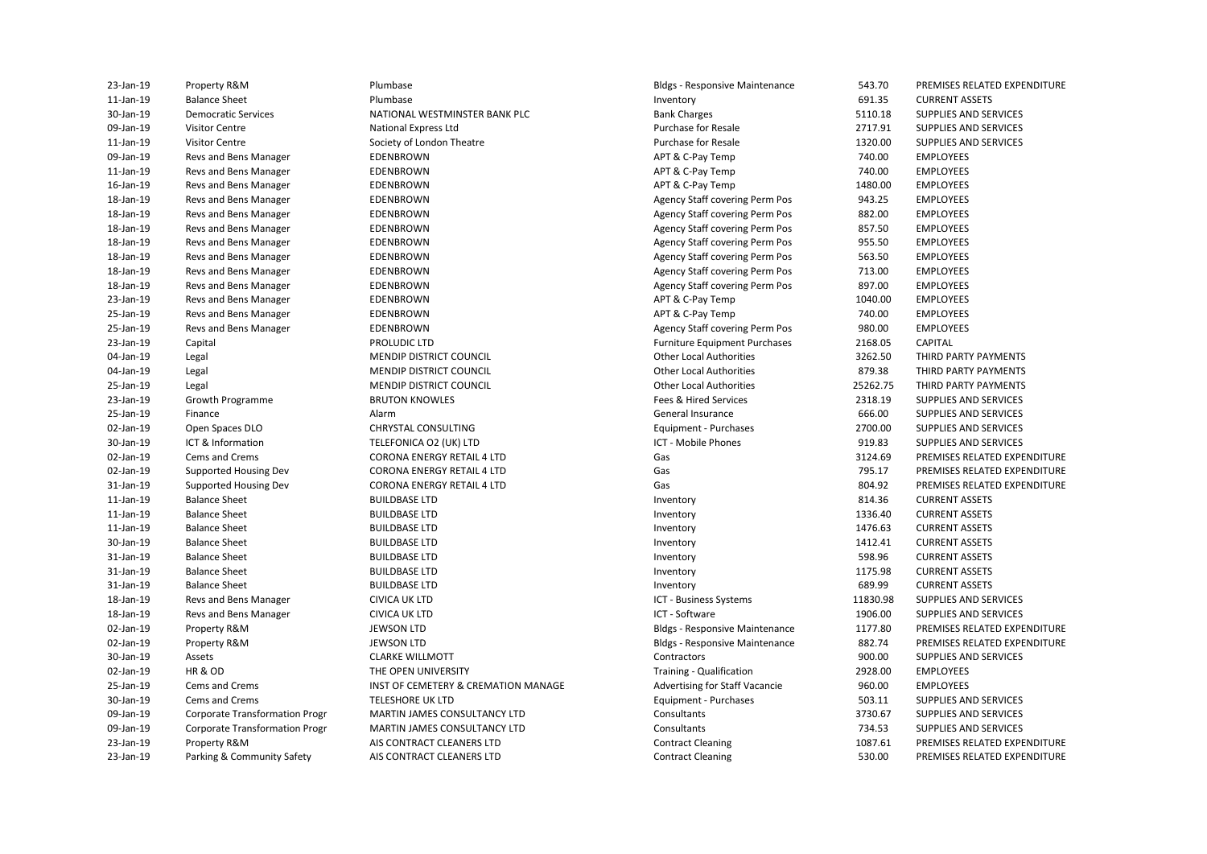| 23-Jan-19 | Property R&M                          | Plumbase                                                               | <b>Bldgs - Responsive Maintenance</b> | 543.70            | PREMISES RELATED EXPENDITURE                                 |
|-----------|---------------------------------------|------------------------------------------------------------------------|---------------------------------------|-------------------|--------------------------------------------------------------|
| 11-Jan-19 | <b>Balance Sheet</b>                  | Plumbase                                                               | Inventory                             | 691.35            | <b>CURRENT ASSETS</b>                                        |
| 30-Jan-19 | <b>Democratic Services</b>            | NATIONAL WESTMINSTER BANK PLC                                          | <b>Bank Charges</b>                   | 5110.18           | SUPPLIES AND SERVICES                                        |
| 09-Jan-19 | <b>Visitor Centre</b>                 | <b>National Express Ltd</b>                                            | <b>Purchase for Resale</b>            | 2717.91           | SUPPLIES AND SERVICES                                        |
| 11-Jan-19 | <b>Visitor Centre</b>                 | Society of London Theatre                                              | Purchase for Resale                   | 1320.00           | SUPPLIES AND SERVICES                                        |
| 09-Jan-19 | Revs and Bens Manager                 | EDENBROWN                                                              | APT & C-Pay Temp                      | 740.00            | <b>EMPLOYEES</b>                                             |
| 11-Jan-19 | Revs and Bens Manager                 | EDENBROWN                                                              | APT & C-Pay Temp                      | 740.00            | <b>EMPLOYEES</b>                                             |
| 16-Jan-19 | Revs and Bens Manager                 | EDENBROWN                                                              | APT & C-Pay Temp                      | 1480.00           | <b>EMPLOYEES</b>                                             |
| 18-Jan-19 | Revs and Bens Manager                 | EDENBROWN                                                              | Agency Staff covering Perm Pos        | 943.25            | <b>EMPLOYEES</b>                                             |
| 18-Jan-19 | Revs and Bens Manager                 | EDENBROWN                                                              | Agency Staff covering Perm Pos        | 882.00            | <b>EMPLOYEES</b>                                             |
| 18-Jan-19 | Revs and Bens Manager                 | EDENBROWN                                                              | Agency Staff covering Perm Pos        | 857.50            | <b>EMPLOYEES</b>                                             |
| 18-Jan-19 | Revs and Bens Manager                 | EDENBROWN                                                              | Agency Staff covering Perm Pos        | 955.50            | <b>EMPLOYEES</b>                                             |
| 18-Jan-19 | Revs and Bens Manager                 | EDENBROWN                                                              | Agency Staff covering Perm Pos        | 563.50            | <b>EMPLOYEES</b>                                             |
| 18-Jan-19 | Revs and Bens Manager                 | EDENBROWN                                                              | Agency Staff covering Perm Pos        | 713.00            | <b>EMPLOYEES</b>                                             |
| 18-Jan-19 | Revs and Bens Manager                 | EDENBROWN                                                              | Agency Staff covering Perm Pos        | 897.00            | <b>EMPLOYEES</b>                                             |
| 23-Jan-19 | Revs and Bens Manager                 | EDENBROWN                                                              | APT & C-Pay Temp                      | 1040.00           | <b>EMPLOYEES</b>                                             |
| 25-Jan-19 | Revs and Bens Manager                 | EDENBROWN                                                              | APT & C-Pay Temp                      | 740.00            | <b>EMPLOYEES</b>                                             |
| 25-Jan-19 | Revs and Bens Manager                 | EDENBROWN                                                              | Agency Staff covering Perm Pos        | 980.00            | <b>EMPLOYEES</b>                                             |
| 23-Jan-19 | Capital                               | PROLUDIC LTD                                                           | <b>Furniture Equipment Purchases</b>  | 2168.05           | <b>CAPITAL</b>                                               |
| 04-Jan-19 | Legal                                 | <b>MENDIP DISTRICT COUNCIL</b>                                         | <b>Other Local Authorities</b>        | 3262.50           | THIRD PARTY PAYMENTS                                         |
| 04-Jan-19 | Legal                                 | <b>MENDIP DISTRICT COUNCIL</b>                                         | <b>Other Local Authorities</b>        | 879.38            | THIRD PARTY PAYMENTS                                         |
| 25-Jan-19 | Legal                                 | MENDIP DISTRICT COUNCIL                                                | <b>Other Local Authorities</b>        | 25262.75          | THIRD PARTY PAYMENTS                                         |
| 23-Jan-19 | Growth Programme                      | <b>BRUTON KNOWLES</b>                                                  | Fees & Hired Services                 | 2318.19           | SUPPLIES AND SERVICES                                        |
| 25-Jan-19 | Finance                               | Alarm                                                                  | <b>General Insurance</b>              | 666.00            | SUPPLIES AND SERVICES                                        |
| 02-Jan-19 | Open Spaces DLO                       | CHRYSTAL CONSULTING                                                    | Equipment - Purchases                 | 2700.00           | SUPPLIES AND SERVICES                                        |
| 30-Jan-19 | ICT & Information                     | TELEFONICA O2 (UK) LTD                                                 | ICT - Mobile Phones                   | 919.83            | SUPPLIES AND SERVICES                                        |
| 02-Jan-19 |                                       |                                                                        |                                       |                   |                                                              |
| 02-Jan-19 | Cems and Crems                        | <b>CORONA ENERGY RETAIL 4 LTD</b><br><b>CORONA ENERGY RETAIL 4 LTD</b> | Gas<br>Gas                            | 3124.69<br>795.17 | PREMISES RELATED EXPENDITURE<br>PREMISES RELATED EXPENDITURE |
|           | Supported Housing Dev                 |                                                                        |                                       |                   |                                                              |
| 31-Jan-19 | Supported Housing Dev                 | <b>CORONA ENERGY RETAIL 4 LTD</b>                                      | Gas                                   | 804.92            | PREMISES RELATED EXPENDITURE                                 |
| 11-Jan-19 | <b>Balance Sheet</b>                  | <b>BUILDBASE LTD</b>                                                   | Inventory                             | 814.36            | <b>CURRENT ASSETS</b>                                        |
| 11-Jan-19 | <b>Balance Sheet</b>                  | <b>BUILDBASE LTD</b>                                                   | Inventory                             | 1336.40           | <b>CURRENT ASSETS</b>                                        |
| 11-Jan-19 | <b>Balance Sheet</b>                  | <b>BUILDBASE LTD</b>                                                   | Inventory                             | 1476.63           | <b>CURRENT ASSETS</b>                                        |
| 30-Jan-19 | <b>Balance Sheet</b>                  | <b>BUILDBASE LTD</b>                                                   | Inventory                             | 1412.41           | <b>CURRENT ASSETS</b>                                        |
| 31-Jan-19 | <b>Balance Sheet</b>                  | <b>BUILDBASE LTD</b>                                                   | Inventory                             | 598.96            | <b>CURRENT ASSETS</b>                                        |
| 31-Jan-19 | <b>Balance Sheet</b>                  | <b>BUILDBASE LTD</b>                                                   | Inventory                             | 1175.98           | <b>CURRENT ASSETS</b>                                        |
| 31-Jan-19 | <b>Balance Sheet</b>                  | <b>BUILDBASE LTD</b>                                                   | Inventory                             | 689.99            | <b>CURRENT ASSETS</b>                                        |
| 18-Jan-19 | Revs and Bens Manager                 | <b>CIVICA UK LTD</b>                                                   | ICT - Business Systems                | 11830.98          | SUPPLIES AND SERVICES                                        |
| 18-Jan-19 | Revs and Bens Manager                 | <b>CIVICA UK LTD</b>                                                   | ICT - Software                        | 1906.00           | SUPPLIES AND SERVICES                                        |
| 02-Jan-19 | Property R&M                          | <b>JEWSON LTD</b>                                                      | <b>Bldgs - Responsive Maintenance</b> | 1177.80           | PREMISES RELATED EXPENDITURE                                 |
| 02-Jan-19 | Property R&M                          | <b>JEWSON LTD</b>                                                      | <b>Bldgs - Responsive Maintenance</b> | 882.74            | PREMISES RELATED EXPENDITURE                                 |
| 30-Jan-19 | Assets                                | <b>CLARKE WILLMOTT</b>                                                 | Contractors                           | 900.00            | SUPPLIES AND SERVICES                                        |
| 02-Jan-19 | HR&OD                                 | THE OPEN UNIVERSITY                                                    | Training - Qualification              | 2928.00           | <b>EMPLOYEES</b>                                             |
| 25-Jan-19 | Cems and Crems                        | INST OF CEMETERY & CREMATION MANAGE                                    | Advertising for Staff Vacancie        | 960.00            | <b>EMPLOYEES</b>                                             |
| 30-Jan-19 | Cems and Crems                        | <b>TELESHORE UK LTD</b>                                                | Equipment - Purchases                 | 503.11            | SUPPLIES AND SERVICES                                        |
| 09-Jan-19 | <b>Corporate Transformation Progr</b> | MARTIN JAMES CONSULTANCY LTD                                           | Consultants                           | 3730.67           | SUPPLIES AND SERVICES                                        |
| 09-Jan-19 | <b>Corporate Transformation Progr</b> | <b>MARTIN JAMES CONSULTANCY LTD</b>                                    | Consultants                           | 734.53            | <b>SUPPLIES AND SERVICES</b>                                 |
| 23-Jan-19 | Property R&M                          | AIS CONTRACT CLEANERS LTD                                              | <b>Contract Cleaning</b>              | 1087.61           | PREMISES RELATED EXPENDITURE                                 |
| 23-Jan-19 | Parking & Community Safety            | AIS CONTRACT CLEANERS LTD                                              | <b>Contract Cleaning</b>              | 530.00            | PREMISES RELATED EXPENDITURE                                 |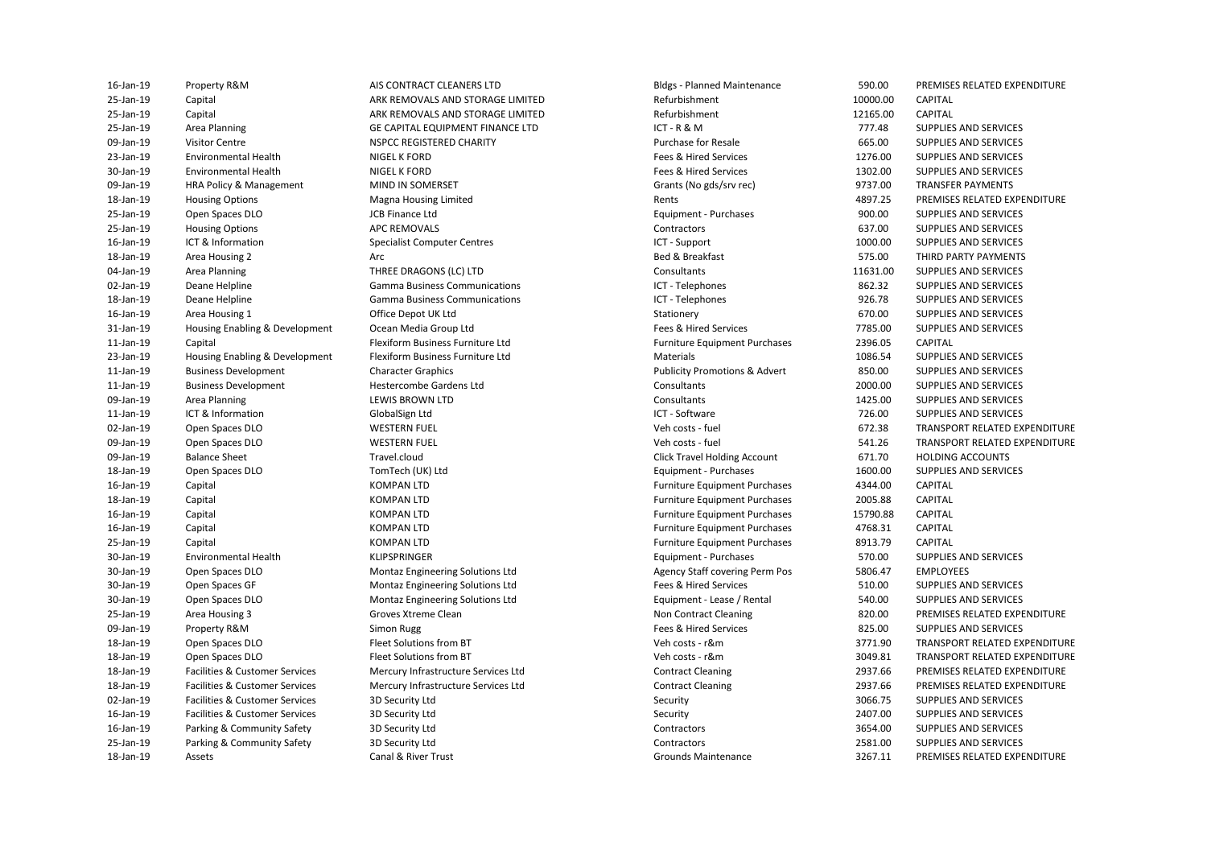25-Jan-19 Capital ARK REMOVALS AND STORAGE LIMITED Refurbishment 10000.00 CAPITAL 25-Jan-19 Capital ARK REMOVALS AND STORAGE LIMITED Refurbishment 12165.00 CAPITAL 25-Jan-19 Area Planning CE CAPITAL EQUIPMENT FINANCE LTD CET - R & M 777.48 SUPPLIES AND SERVICES 09-Jan-19 HRA Policy & Management MIND IN SOMERSET GRANTS CONSIDERITY Grants (No gds/srv rec) 9737.00 TRANSFER PAYMENTS 31-Jan-19 Housing Enabling & Development Ocean Media Group Ltd Fees & Hired Services 7785.00 SUPPLIES AND SERVICES 23-Jan-19 Housing Enabling & Development Flexiform Business Furniture Ltd Materials Materials 1086.54 SUPPLIES AND SERVICES 11-Jan-19 Business Development Character Graphics Publicity Promotions & Advert 850.00 SUPPLIES AND SERVICES 09-Jan-19 Balance Sheet Click Travel.cloud Click Travel Holding Account 671.70 HOLDING ACCOUNTS 30-Jan-19 Open Spaces DLO **Montaz Engineering Solutions Ltd** Agency Staff covering Perm Pos 5806.47 EMPLOYEES 30-Jan-19 Open Spaces GF Montaz Engineering Solutions Ltd Fees & Hired Services 510.00 SUPPLIES AND SERVICES 30-Jan-19 Open Spaces DLO Montaz Engineering Solutions Ltd Equipment - Lease / Rental 540.00 SUPPLIES AND SERVICES 18-Jan-19 Facilities & Customer Services Mercury Infrastructure Services Ltd Contract Cleaning 2937.66 PREMISES RELATED EXPENDITURE 18-Jan-19 Facilities & Customer Services Mercury Infrastructure Services Ltd Contract Cleaning 2937.66 PREMISES RELATED EXPENDITURE 09-Jan-19 Visitor Centre NSPCC REGISTERED CHARITY Purchase for Resale 665.00 SUPPLIES AND SERVICES 23-Jan-19 Environmental Health NIGEL K FORD Fees & Hired Services Fees & Hired Services 23-Jan-19 SERVICES AND SERVICES 30-Jan-19 Environmental Health NIGEL K FORD Fees & Hired Services Fees & Hired Services 200 SUPPLIES AND SERVICES 18-Jan-19 Housing Options Magna Housing Limited Rents 4897.25 PREMISES RELATED EXPENDITURE 25-Jan-19 Open Spaces DLO JCB Finance Ltd Equipment - Purchases 900.00 SUPPLIES AND SERVICES 25-Jan-19 Housing Options **APC REMOVALS** AND SERVICES Contractors Contractors 637.00 SUPPLIES AND SERVICES 16-Jan-19 ICT & Information Specialist Computer Centres Computer Centres ICT - Support 1000.00 SUPPLIES AND SERVICES 18-Jan-19 Area Housing 2 Arc Bed & Breakfast 575.00 THIRD PARTY PAYMENTS 04-Jan-19 Area Planning THREE DRAGONS (LC) LTD Consultants Consultants 11631.00 SUPPLIES AND SERVICES 02-Jan-19 Deane Helpline Samma Business Communications (CT - Telephones Se2.32 SUPPLIES AND SERVICES ON THE SAND SERVICES AND SERVICES AND SERVICES Communications (Samma Business Communications and the services of the serv 18-Jan-19 Deane Helpline **State Comma Business Communications** CCT - Telephones COMET - Telephones 926.78 SUPPLIES AND SERVICES 16-Jan-19 Area Housing 1 Office Depot UK Ltd Stationery 670.00 SUPPLIES AND SERVICES 11-Jan-19 Capital Capital Flexiform Business Furniture Ltd Furniture Equipment Purchases 2396.05 CAPITAL (1996)<br>1999 - Housing Faabling & Development Flexiform Business Furniture Ltd Materials Materials Materials (1996,54 11-Jan-19 Business Development Hestercombe Gardens Ltd Consultants 2000.00 SUPPLIES AND SERVICES 09-Jan-19 Area Planning Computer Consultants Consultants Consultants 1425.00 SUPPLIES AND SERVICES 11-Jan-19 ICT & Information GlobalSign Ltd ICT - Software 726.00 SUPPLIES AND SERVICES 02-Jan-19 Open Spaces DLO WESTERN FUEL VEH COSTS - THE Veh costs - fuel Veh costs - fuel 672.38 TRANSPORT RELATED EXPENDITURE 09-Jan-19 Open Spaces DLO WESTERN FUEL VEH COSTS - fuel Veh costs - fuel 541.26 TRANSPORT RELATED EXPENDITURE 18-Jan-19 Open Spaces DLO TomTech (UK) Ltd Equipment - Purchases 1600.00 SUPPLIES AND SERVICES 16-Jan-19 Capital KOMPAN LTD Furniture Equipment Purchases 4344.00 CAPITAL 18-Jan-19 Capital KOMPAN LTD Furniture Equipment Purchases 2005.88 CAPITAL 16-Jan-19 Capital KOMPAN LTD Furniture Equipment Purchases 15790.88 CAPITAL 16-Jan-19 Capital KOMPAN LTD Furniture Equipment Purchases 4768.31 CAPITAL 25-Jan-19 Capital KOMPAN LTD Furniture Equipment Purchases 8913.79 CAPITAL 30-Jan-19 Environmental Health KLIPSPRINGER Equipment - Purchases 570.00 SUPPLIES AND SERVICES 25-Jan-19 Area Housing 3 Groves Xtreme Clean Non Contract Cleaning Non Contract Cleaning 820.00 PREMISES RELATED EXPENDITURE 09-Jan-19 Property R&M Simon Rugg Fees & Hired Services 825.00 SUPPLIES AND SERVICES 18-Jan-19 Open Spaces DLO Fleet Solutions from BT Veh costs - r&m 3771.90 TRANSPORT RELATED EXPENDITURE 18-Jan-19 Open Spaces DLO Fleet Solutions from BT Veh costs - r&m 3049.81 TRANSPORT RELATED EXPENDITURE 02-Jan-19 Facilities & Customer Services 3D Security Ltd Security Ltd Security Security 3066.75 SUPPLIES AND SERVICES 16-Jan-19 Facilities & Customer Services 3D Security Ltd Security 2407.00 SUPPLIES AND SERVICES 16-Jan-19 Parking & Community Safety 3D Security Ltd Contractors 3654.00 SUPPLIES AND SERVICES 25-Jan-19 Parking & Community Safety 3D Security Ltd Contractors 2581.00 SUPPLIES AND SERVICES

AIS CONTRACT CLEANERS LTD NIGEL K FORD NIGFI K FORD Magna Housing Limited ICB Finance I td Office Depot UK Itd Flexiform Business Furniture Ltd **Hestercombe Gardens Ltd** Groves Xtreme Clean Fleet Solutions from BT **Fleet Solutions from BT** 3D Security Ltd 3D Security Ltd 3D Security Ltd 3D Security Ltd

ICT - Support ICT - Telephones ICT - Telephones ICT - Software Veh costs - fuel Veh costs - fuel 16-Jan-19 Property R&M AIS CONTRACT CLEANERS LTD Bldgs - Planned Maintenance 590.00 PREMISES RELATED EXPENDITURE 18-Jan-19 Assets Canal & River Trust Grounds Maintenance 3267.11 PREMISES RELATED EXPENDITURE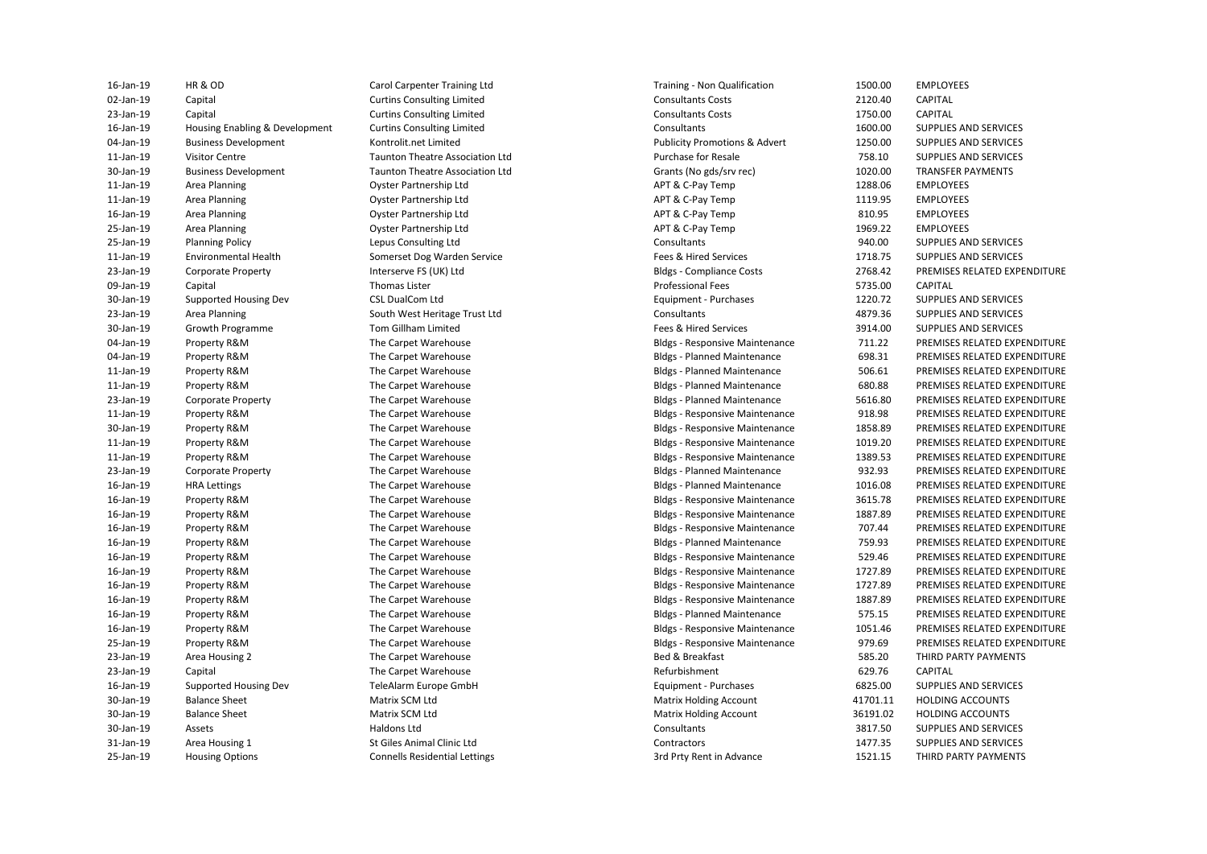| 16-Jan-19       | HR & OD                        | Carol Carpenter Training Ltd           | Training - Non Qualification             | 1500.00  | EMPLOYEES                    |
|-----------------|--------------------------------|----------------------------------------|------------------------------------------|----------|------------------------------|
| 02-Jan-19       | Capital                        | <b>Curtins Consulting Limited</b>      | <b>Consultants Costs</b>                 | 2120.40  | CAPITAL                      |
| 23-Jan-19       | Capital                        | <b>Curtins Consulting Limited</b>      | <b>Consultants Costs</b>                 | 1750.00  | CAPITAL                      |
| 16-Jan-19       | Housing Enabling & Development | <b>Curtins Consulting Limited</b>      | Consultants                              | 1600.00  | SUPPLIES AND SERVICES        |
| 04-Jan-19       | <b>Business Development</b>    | Kontrolit.net Limited                  | <b>Publicity Promotions &amp; Advert</b> | 1250.00  | SUPPLIES AND SERVICES        |
| 11-Jan-19       | <b>Visitor Centre</b>          | <b>Taunton Theatre Association Ltd</b> | <b>Purchase for Resale</b>               | 758.10   | SUPPLIES AND SERVICES        |
| 30-Jan-19       | <b>Business Development</b>    | <b>Taunton Theatre Association Ltd</b> | Grants (No gds/srv rec)                  | 1020.00  | <b>TRANSFER PAYMENTS</b>     |
| 11-Jan-19       | Area Planning                  | <b>Oyster Partnership Ltd</b>          | APT & C-Pay Temp                         | 1288.06  | <b>EMPLOYEES</b>             |
| 11-Jan-19       | Area Planning                  | Oyster Partnership Ltd                 | APT & C-Pay Temp                         | 1119.95  | <b>EMPLOYEES</b>             |
| 16-Jan-19       | Area Planning                  | Oyster Partnership Ltd                 | APT & C-Pay Temp                         | 810.95   | <b>EMPLOYEES</b>             |
| 25-Jan-19       | Area Planning                  | Oyster Partnership Ltd                 | APT & C-Pay Temp                         | 1969.22  | <b>EMPLOYEES</b>             |
| 25-Jan-19       | <b>Planning Policy</b>         | Lepus Consulting Ltd                   | Consultants                              | 940.00   | SUPPLIES AND SERVICES        |
| 11-Jan-19       | <b>Environmental Health</b>    | Somerset Dog Warden Service            | Fees & Hired Services                    | 1718.75  | SUPPLIES AND SERVICES        |
| 23-Jan-19       | <b>Corporate Property</b>      | Interserve FS (UK) Ltd                 | <b>Bldgs - Compliance Costs</b>          | 2768.42  | PREMISES RELATED EXPENDITURE |
| 09-Jan-19       | Capital                        | <b>Thomas Lister</b>                   | <b>Professional Fees</b>                 | 5735.00  | CAPITAL                      |
| 30-Jan-19       | Supported Housing Dev          | <b>CSL DualCom Ltd</b>                 | Equipment - Purchases                    | 1220.72  | SUPPLIES AND SERVICES        |
| 23-Jan-19       | Area Planning                  | South West Heritage Trust Ltd          | Consultants                              | 4879.36  | SUPPLIES AND SERVICES        |
| 30-Jan-19       | Growth Programme               | Tom Gillham Limited                    | Fees & Hired Services                    | 3914.00  | SUPPLIES AND SERVICES        |
| 04-Jan-19       | Property R&M                   | The Carpet Warehouse                   | <b>Bldgs - Responsive Maintenance</b>    | 711.22   | PREMISES RELATED EXPENDITURE |
| 04-Jan-19       | Property R&M                   | The Carpet Warehouse                   | <b>Bldgs - Planned Maintenance</b>       | 698.31   | PREMISES RELATED EXPENDITURE |
| 11-Jan-19       | Property R&M                   | The Carpet Warehouse                   | <b>Bldgs - Planned Maintenance</b>       | 506.61   | PREMISES RELATED EXPENDITURE |
| 11-Jan-19       | Property R&M                   | The Carpet Warehouse                   | <b>Bldgs - Planned Maintenance</b>       | 680.88   | PREMISES RELATED EXPENDITURE |
| 23-Jan-19       | <b>Corporate Property</b>      | The Carpet Warehouse                   | <b>Bldgs - Planned Maintenance</b>       | 5616.80  | PREMISES RELATED EXPENDITURE |
| 11-Jan-19       | Property R&M                   | The Carpet Warehouse                   | <b>Bldgs - Responsive Maintenance</b>    | 918.98   | PREMISES RELATED EXPENDITURE |
| 30-Jan-19       | Property R&M                   | The Carpet Warehouse                   | <b>Bldgs - Responsive Maintenance</b>    | 1858.89  | PREMISES RELATED EXPENDITURE |
| 11-Jan-19       | Property R&M                   | The Carpet Warehouse                   | <b>Bldgs - Responsive Maintenance</b>    | 1019.20  | PREMISES RELATED EXPENDITURE |
| 11-Jan-19       | Property R&M                   | The Carpet Warehouse                   | <b>Bldgs - Responsive Maintenance</b>    | 1389.53  | PREMISES RELATED EXPENDITURE |
| 23-Jan-19       | <b>Corporate Property</b>      | The Carpet Warehouse                   | <b>Bldgs - Planned Maintenance</b>       | 932.93   | PREMISES RELATED EXPENDITURE |
| 16-Jan-19       | <b>HRA Lettings</b>            | The Carpet Warehouse                   | <b>Bldgs - Planned Maintenance</b>       | 1016.08  | PREMISES RELATED EXPENDITURE |
| 16-Jan-19       | Property R&M                   | The Carpet Warehouse                   | <b>Bldgs - Responsive Maintenance</b>    | 3615.78  | PREMISES RELATED EXPENDITURE |
| 16-Jan-19       | Property R&M                   | The Carpet Warehouse                   | <b>Bldgs - Responsive Maintenance</b>    | 1887.89  | PREMISES RELATED EXPENDITURE |
| 16-Jan-19       | Property R&M                   | The Carpet Warehouse                   | <b>Bldgs - Responsive Maintenance</b>    | 707.44   | PREMISES RELATED EXPENDITURE |
| 16-Jan-19       | Property R&M                   | The Carpet Warehouse                   | <b>Bldgs - Planned Maintenance</b>       | 759.93   | PREMISES RELATED EXPENDITURE |
| 16-Jan-19       | Property R&M                   | The Carpet Warehouse                   | <b>Bldgs - Responsive Maintenance</b>    | 529.46   | PREMISES RELATED EXPENDITURE |
| $16$ -Jan- $19$ | Property R&M                   | The Carpet Warehouse                   | <b>Bldgs - Responsive Maintenance</b>    | 1727.89  | PREMISES RELATED EXPENDITURE |
| 16-Jan-19       | Property R&M                   | The Carpet Warehouse                   | <b>Bldgs - Responsive Maintenance</b>    | 1727.89  | PREMISES RELATED EXPENDITURE |
| 16-Jan-19       | Property R&M                   | The Carpet Warehouse                   | <b>Bldgs - Responsive Maintenance</b>    | 1887.89  | PREMISES RELATED EXPENDITURE |
| 16-Jan-19       | Property R&M                   | The Carpet Warehouse                   | <b>Bldgs - Planned Maintenance</b>       | 575.15   | PREMISES RELATED EXPENDITURE |
| 16-Jan-19       | Property R&M                   | The Carpet Warehouse                   | <b>Bldgs - Responsive Maintenance</b>    | 1051.46  | PREMISES RELATED EXPENDITURE |
| 25-Jan-19       | Property R&M                   | The Carpet Warehouse                   | <b>Bldgs - Responsive Maintenance</b>    | 979.69   | PREMISES RELATED EXPENDITURE |
| 23-Jan-19       | Area Housing 2                 | The Carpet Warehouse                   | Bed & Breakfast                          | 585.20   | THIRD PARTY PAYMENTS         |
| 23-Jan-19       | Capital                        | The Carpet Warehouse                   | Refurbishment                            | 629.76   | CAPITAL                      |
| 16-Jan-19       | Supported Housing Dev          | TeleAlarm Europe GmbH                  | Equipment - Purchases                    | 6825.00  | SUPPLIES AND SERVICES        |
| 30-Jan-19       | <b>Balance Sheet</b>           | Matrix SCM Ltd                         | <b>Matrix Holding Account</b>            | 41701.11 | <b>HOLDING ACCOUNTS</b>      |
| 30-Jan-19       | <b>Balance Sheet</b>           | Matrix SCM Ltd                         | <b>Matrix Holding Account</b>            | 36191.02 | <b>HOLDING ACCOUNTS</b>      |
| 30-Jan-19       | Assets                         | Haldons Ltd                            | Consultants                              | 3817.50  | SUPPLIES AND SERVICES        |
| 31-Jan-19       | Area Housing 1                 | St Giles Animal Clinic Ltd             | Contractors                              | 1477.35  | SUPPLIES AND SERVICES        |
| 25-Jan-19       | <b>Housing Options</b>         | <b>Connells Residential Lettings</b>   | 3rd Prty Rent in Advance                 | 1521.15  | THIRD PARTY PAYMENTS         |
|                 |                                |                                        |                                          |          |                              |